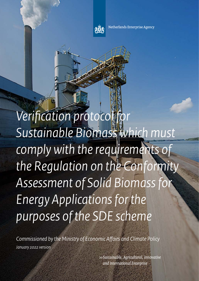

Netherlands Enterprise Agency

*Verifcation protocol for Sustainable Biomass which must comply with the requirements of the Regulation on the Conformity Assessment of Solid Biomass for Energy Applications for the purposes of the SDE scheme*

*Commissioned by the Ministry of Economic Afairs and Climate Policy January 2022 version*

> *>> Sustainable, Agricultural, Innovative and International Enterprise*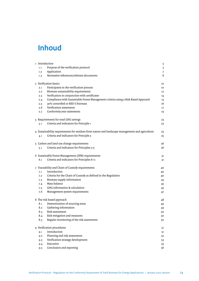# **Inhoud**

| 1 Introduction |                                                                                                 | 5  |
|----------------|-------------------------------------------------------------------------------------------------|----|
| 1.1            | Purpose of the verification protocol                                                            | 5  |
| 1.2            | Application                                                                                     | 7  |
| 1.3            | Normative references/relevant documents                                                         | 8  |
|                | 2 Verification basics                                                                           | 10 |
| 2.1            | Participants in the verification process                                                        | 10 |
| 2.2            | Biomass sustainability requirements                                                             | 12 |
| 2.3            | Verification in conjunction with certificates                                                   | 14 |
| 2.4            | Compliance with Sustainable Forest Management criteria using a Risk Based Approach              | 15 |
| 2.5            | 30% controlled or RED II biomass                                                                | 16 |
| 2.6            | Verification statements                                                                         | 17 |
| 2.7            | Conformity year statements                                                                      | 19 |
|                | 3 Requirements for total GHG savings                                                            | 23 |
| 3.1            | Criteria and indicators for Principle 1                                                         | 23 |
|                | 4 Sustainability requirements for residues from nature and landscape management and agriculture | 25 |
| 4.1            | Criteria and indicators for Principle 2                                                         | 25 |
|                | 5 Carbon and land use change requirements                                                       | 26 |
| 5.1            | Criteria and indicators for Principles 3-5                                                      | 26 |
|                | 6 Sustainable Forest Management (SFM) requirements                                              | 31 |
| 6.1            | Criteria and indicators for Principles 6-11                                                     | 31 |
|                | 7 Traceability and Chain of Custody requirements                                                | 40 |
| 7.1            | Introduction                                                                                    | 40 |
| 7.2            | Criteria for the Chain of Custody as defined in the Regulation                                  | 40 |
| 7.3            | Biomass supply information                                                                      | 43 |
| 7.4            | Mass balance                                                                                    | 45 |
| 7.5            | GHG information & calculation                                                                   | 45 |
| 7.6            | Management system requirements                                                                  | 47 |
|                | 8 The risk based approach                                                                       | 48 |
| 8.1            | Determination of sourcing areas                                                                 | 49 |
| 8.2            | Gathering information                                                                           | 49 |
| 8.3            | Risk assessment                                                                                 | 50 |
| 8.4            | Risk mitigation and measures                                                                    | 50 |
| 8.5            | Regular monitoring of the risk assessment                                                       | 50 |
|                | 9 Verification procedures                                                                       | 51 |
| 9.1            | Introduction                                                                                    | 51 |
| 9.2            | Planning and risk assessment                                                                    | 52 |
| 9.3            | Verification strategy development                                                               | 53 |
| 9.4            | Execution                                                                                       | 55 |
| 9.5            | Conclusion and reporting                                                                        | 56 |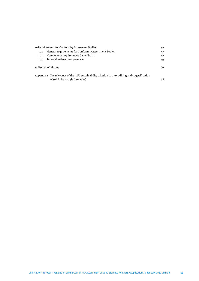|      | 10 Requirements for Conformity Assessment Bodies                                                   | 57 |
|------|----------------------------------------------------------------------------------------------------|----|
| 10.1 | General requirements for Conformity Assessment Bodies                                              | 57 |
| 10.2 | Competence requirements for auditors                                                               | 57 |
| 10.3 | Internal reviewer competences                                                                      | 59 |
|      | 11 List of definitions                                                                             | 60 |
|      | Appendix 1 The relevance of the ILUC sustainability criterion to the co-firing and co-gasification |    |
|      | of solid biomass (informative)                                                                     | 68 |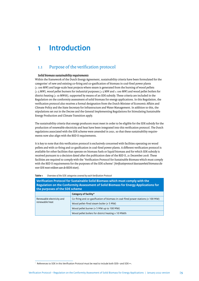# <span id="page-4-0"></span>**1 Introduction**

# 1.1 Purpose of the verifcation protocol

# *Solid biomass sustainability requirements*

Within the framework of the Dutch Energy Agreement, sustainability criteria have been formulated for the categories<sup>1</sup> of new and existing co-firing and co-gasification of biomass in coal-fired power plants (≥ 100 MW) and large-scale heat projects where steam is generated from the burning of wood pellets (≥ 5 MW), wood pellet burners for industrial purposes (≥ 5 MW and ≤ 100 MW) and wood pellet boilers for district heating (≥ 10 MWth), supported by means of an SDE subsidy. These criteria are included in the Regulation on the conformity assessment of solid biomass for energy applications. In this Regulation, the verifcation protocol also receives a formal designation from the Dutch Minister of Economic Afairs and Climate Policy and the State Secretary for Infrastructure and Water Management. In addition to this, the stipulations set out in the Decree and the General Implementing Regulations for Stimulating Sustainable Energy Production and Climate Transition apply.

The sustainability criteria that energy producers must meet in order to be eligible for the SDE subsidy for the production of renewable electricity and heat have been integrated into this verifcation protocol. The Dutch regulations associated with the SDE scheme were amended in 2021, so that these sustainability requirements now also align with the RED II requirements.

It is key to note that this verifcation protocol is exclusively concerned with facilities operating on wood pellets and with co-fring and co-gasifcation in coal-fred power plants. A diferent verifcation protocol is available for other facilities that operate on biomass fuels or liquid biomass and for which SDE subsidy is received pursuant to a decision dated afer the publication date of the RED II, 21 December 2018. These facilities are required to comply with the 'Verifcation Protocol for Sustainable Biomass which must comply with the RED II requirements for the purposes of the SDE scheme' (*Verifcatieprotocol duurzaamheid biomassa die voor SDE moet voldoen aan de REDII eisen*).

| Verification Protocol for Sustainable Solid Biomass which must comply with the<br>Regulation on the Conformity Assessment of Solid Biomass for Energy Applications for<br>the purposes of the SDE scheme |                                                                                        |  |
|----------------------------------------------------------------------------------------------------------------------------------------------------------------------------------------------------------|----------------------------------------------------------------------------------------|--|
|                                                                                                                                                                                                          | Category of facility*                                                                  |  |
| Renewable electricity and                                                                                                                                                                                | Co-firing and co-gasification of biomass in coal-fired power stations ( $\geq 100$ MW) |  |
| renewable heat                                                                                                                                                                                           | Wood pellet-fired steam boiler ( $\geq$ 5 MW)                                          |  |
|                                                                                                                                                                                                          | Wood pellet burner ( $\geq$ 5 MW up to 100 MW)                                         |  |
|                                                                                                                                                                                                          | Wood pellet boilers for district heating $\geq 10$ MWth                                |  |

#### **Table 1** *Overview of the SDE categories covered by each Verifcation Protocol*

<sup>&</sup>lt;sup>1</sup> References to SDE in this Verification Protocol must be read to include both SDE+ and SDE++.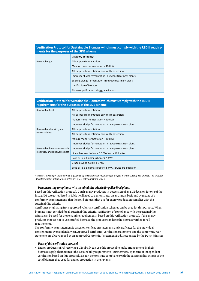| Verification Protocol for Sustainable Biomass which must comply with the RED II require-<br>ments for the purposes of the SDE scheme |                                                         |  |
|--------------------------------------------------------------------------------------------------------------------------------------|---------------------------------------------------------|--|
|                                                                                                                                      | Category of facility*                                   |  |
| Renewable gas                                                                                                                        | All-purpose fermentation                                |  |
|                                                                                                                                      | Manure mono-fermentation > 400 kW                       |  |
|                                                                                                                                      | All-purpose fermentation, service life extension        |  |
|                                                                                                                                      | Improved sludge fermentation in sewage treatment plants |  |
|                                                                                                                                      | Existing sludge fermentation in sewage treatment plants |  |
|                                                                                                                                      | Gasification of biomass                                 |  |
|                                                                                                                                      | Biomass gasification using grade B wood                 |  |

## **Verifcation Protocol for Sustainable Biomass which must comply with the RED II requirements for the purposes of the SDE scheme**

| Renewable heat                 | All-purpose fermentation                                           |
|--------------------------------|--------------------------------------------------------------------|
|                                | All-purpose fermentation, service life extension                   |
|                                | Manure mono-fermentation > 400 kW                                  |
|                                | Improved sludge fermentation in sewage treatment plants            |
| Renewable electricity and      | All-purpose fermentation                                           |
| renewable heat                 | All-purpose fermentation, service life extension                   |
|                                | Manure mono-fermentation > 400 kW                                  |
|                                | Improved sludge fermentation in sewage treatment plants            |
| Renewable heat or renewable    | Improved sludge fermentation in sewage treatment plants            |
| electricity and renewable heat | Liquid biomass boilers $\geq$ 0.5 MW and $\leq$ 100 MWe            |
|                                | Solid or liquid biomass boiler $\geq$ 5 MW                         |
|                                | Grade B wood boilers $\geq$ 5 MW                                   |
|                                | Solid or liquid biomass boiler $\geq$ 5 MW, service life extension |

*\*The exact labelling of the categories is governed by the designation regulation for the year in which subsidy was granted. This protocol therefore applies only in respect of the frst 4 SDE categories from Table 1.*

#### *Demonstrating compliance with sustainability criteria for pellet-fred plants*

Based on this verifcation protocol, Dutch energy producers in possession of an SDE decision for one of the frst 4 SDE categories listed in Table 1 will need to demonstrate, on an annual basis and by means of a conformity year statement, that the solid biomass they use for energy production complies with the sustainability criteria.

Certifcates originating from approved voluntary certifcation schemes can be used for this purpose. When biomass is not certifed for all sustainability criteria, verifcation of compliance with the sustainability criteria can be used for the remaining requirements, based on this verifcation protocol. If the energy producer chooses not to use certifed biomass, the producer can have the biomass verifed for all requirements.

The conformity year statement is based on verifcation statements and certifcates for the individual consignments over a calendar year. Approved certifcates, verifcation statements and the conformity year statement are always issued by an approved Conformity Assessment Body, recognized by the Dutch Minister.

# *Users of this verifcation protocol*

• Energy producers (EPs) receiving SDE subsidy can use this protocol to make arrangements in their biomass supply chain to meet the sustainability requirements. Furthermore, by means of independent verifcation based on this protocol, EPs can demonstrate compliance with the sustainability criteria of the solid biomass they used for energy production in their plants.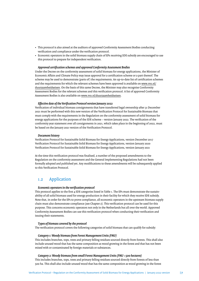- <span id="page-6-0"></span>• This protocol is also aimed at the auditors of approved Conformity Assessment Bodies conducting verifcation and compliance under the verifcation protocol.
- Economic operators in the solid biomass supply chain of EPs receiving SDE subsidy are encouraged to use this protocol to prepare for independent verifcation.

#### *Approved certifcation schemes and approved Conformity Assessment Bodies*

Under the Decree on the conformity assessment of solid biomass for energy applications, the Minister of Economic Afairs and Climate Policy may issue approval for a certifcation scheme or a part thereof. The scheme may be used to demonstrate (parts of ) the requirements. An up-to-date list of certifcation schemes and the requirements for which the relevant schemes have been approved is available on [www.rvo.nl/](http://www.rvo.nl/duurzaamheidseisen) [duurzaamheidseisen](http://www.rvo.nl/duurzaamheidseisen). On the basis of this same Decree, the Minister may also recognise Conformity Assessment Bodies for the relevant schemes and this verifcation protocol. A list of approved Conformity Assessment Bodies is also available on [www.rvo.nl/duurzaamheidseisen](http://www.rvo.nl/duurzaamheidseisen).

#### *Efective date of the Verifcation Protocol version January 2022*

Verifcation of individual biomass consignments that have transferred legal ownership afer 31 December 2021 must be performed with this new version of the Verifcation Protocol for Sustainable Biomass that must comply with the requirements in the Regulation on the conformity assessment of solid biomass for energy applications for the purposes of the SDE scheme – version January 2022. The verifcation of the conformity year statement over all consignments in 2021, which takes place in the beginning of 2022, must be based on the January 2021 version of the Verifcation Protocol.

#### *Document history*

Verifcation Protocol for Sustainable Solid Biomass for Energy Applications, version December 2017 Verifcation Protocol for Sustainable Solid Biomass for Energy Applications, version January 2020 Verifcation Protocol for Sustainable Solid Biomass for Energy Applications, version January 2021

At the time this verifcation protocol was fnalised, a number of the proposed amendments to the Regulation on the conformity assessment and the General Implementing Regulations had not been formally adopted and published yet. Any modifcations to these amendments will be subsequently applied to this Verifcation Protocol.

# 1.2 Application

## *Economic operators in the verifcation protocol*

This protocol applies to the frst 4 SDE categories listed in Table 1. The EPs must demonstrate the sustainability of all solid biomass used for energy production in their facility for which they receive SDE subsidy. Note that, in order for the EPs to prove compliance, all economic operators in the upstream biomass supply chain must also demonstrate compliance (see Chapter 2). This verifcation protocol can be used for this purpose. This concerns economic operators not only in the Netherlands but all over the world. Approved Conformity Assessment Bodies can use this verifcation protocol when conducting their verifcation and issuing their statements.

#### *Types of biomass covered by the protocol*

The verifcation protocol covers the following categories of solid biomass that can qualify for subsidy:

#### *Category 1: Woody biomass from Forest Management Units (FMU)*

This includes branches, tops, trees and primary felling residues sourced directly from forests. This shall also include unused wood that has the same composition as wood growing in the forest and that has not been mixed with or contaminated by foreign materials or substances.

#### *Category 2: Woody biomass from small Forest Management Units (FMU <500 hectares)*

This includes branches, tops, trees and primary felling residues sourced directly from forests of less than 500 ha. This shall also include unused wood that has the same composition as wood growing in the forest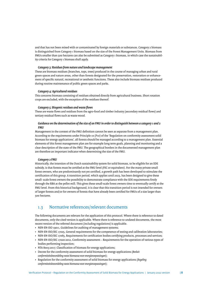<span id="page-7-0"></span>and that has not been mixed with or contaminated by foreign materials or substances. Category 2 biomass is distinguished from Category 1 biomass based on the size of the Forest Management Units. Biomass from FMUs smaller than 500 hectares can also be submited as Category 1 biomass, in which case the sustainability criteria for Category 1 biomass shall apply.

### *Category 3: Residues from nature and landscape management*

These are biomass residues (branches, tops, trees) produced in the course of managing urban and rural green spaces and nature areas, other than forests designated for the preservation, restoration or enhancement of specifc natural, recreational or aesthetic functions. These also include biomass residues produced during routine maintenance of public green spaces and parks.

#### *Category 4: Agricultural residues*

This concerns biomass consisting of residues obtained directly from agricultural business. Short rotation crops are excluded, with the exception of the residues thereof.

#### *Category 5: Biogenic residues and waste fows*

These are waste flows and residues from the agro-food and timber industry (secondary residual flows) and tertiary residual flows such as waste wood.

## *Guidance on the determination of the size of an FMU in order to distinguish between a category 1 and 2 FMU*

Management in the context of the FMU defnition cannot be seen as separate from a management plan. According to the requirements under Principle 10 (P10) of the 'Regulation on conformity assessment solid biomass for energy applications', all forests should be managed according to a management plan. Essential elements of this forest management plan are for example long term goals, planning and monitoring and a clear description of the state of the FMU. The geographical borders in the documented management plan are therefore an important indicator when determining the size of the FMU.

## *Category 2 FMU*

Historically, the intention of the Dutch sustainability system for solid biomass, to be eligible for an SDE subsidy, is that forests must be certifed at the FMU level (FSC or equivalent). For the many private small forest owners, who are predominantly not yet certifed, a growth path has been developed to stimulate the certifcation of this group. A transition period, which applies until 2023, has been designed to give these small- scale forest owners the possibility to demonstrate compliance with the SDE requirements frstly through the RBA at the pellet mill. This gives these small-scale forest owners time to eventually certify at the FMU level. From this historical background, it is clear that this transition period is not intended for owners of larger forests and/or for owners of forests that have already been certifed for FMUs of a size larger than 500 hectares.

# 1.3 Normative references/relevant documents

The following documents are relevant for the application of this protocol. Where there is reference to dated documents, only the cited version is applicable. Where there is reference to undated documents, the most recent version of the referred document (including regulations) is applicable.

- NEN-EN-ISO 19011, Guidelines for auditing of management systems;
- NEN-EN-ISO/IEC 17025, General requirements for the competence of testing and calibration laboratories;
- NEN-EN-ISO/IEC 17065, Requirements for certifcation bodies certifying products, processes and services;
- NEN-EN-ISO/IEC 17020:2012, Conformity assessment Requirements for the operation of various types of bodies performing inspection;
- NTA 8003:2017; Classifcation of biomass for energy applications;
- Decree for the conformity assessment of solid biomass for energy applications (*Besluit conformiteitsbeoordeling vaste biomassa voor energietoepassingen*);
- Regulation for the conformity assessment of solid biomass for energy applications (*Regeling conformiteitsbeoordeling vaste biomassa voor energietoepassingen*);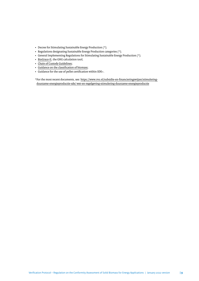- Decree for Stimulating Sustainable Energy Production (\*);
- Regulations designating Sustainable Energy Production categories (\*);
- General Implementing Regulations for Stimulating Sustainable Energy Production (\*);
- [BioGrace-II,](https://www.biograce.net/) the GHG calculation tool;
- [Chain of Custody Guidelines;](https://english.rvo.nl/sites/default/files/2018/02/Guidance-Chain-of-Custody-EN.pdf)
- [Guidance on the classifcation of biomass;](https://english.rvo.nl/sites/default/files/2020/01/Guidance on the classification of biomass.pdf)
- Guidance for the use of pellet certifcation within SDE+.

\*For the most recent documents, see: [htps://www.rvo.nl/subsidie-en-fnancieringswijzer/stimulering](https://www.rvo.nl/subsidie-en-financieringswijzer/stimulering-duurzame-energieproductie-sde/wet-en-regelgeving-stimulering-duurzame-energieproductie)[duurzame-energieproductie-sde/ wet-en-regelgeving-stimulering-duurzame-energieproductie](https://www.rvo.nl/subsidie-en-financieringswijzer/stimulering-duurzame-energieproductie-sde/wet-en-regelgeving-stimulering-duurzame-energieproductie)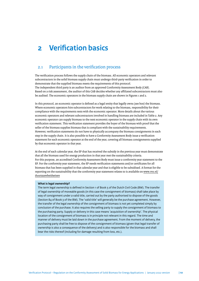# <span id="page-9-0"></span>**2 Verifcation basics**

# 2.1 Participants in the verifcation process

The verifcation process follows the supply chain of the biomass. All economic operators and relevant subcontractors in the solid biomass supply chain must undergo third-party verifcation in order to demonstrate that the supplied biomass meets the requirements of this protocol. The independent third party is an auditor from an approved Conformity Assessment Body (CAB). Based on a risk assessment, the auditor of this CAB decides whether any afliated subcontractors must also be audited. The economic operators in the biomass supply chain are shown in Figures 1 and 2.

In this protocol, an economic operator is defned as a legal entity that legally owns (see box) the biomass. Where economic operators hire subcontractors for work relating to the biomass, responsibility for their compliance with the requirements rests with the economic operator. More details about the various economic operators and relevant subcontractors involved in handling biomass are included in Table 2. Any economic operator can supply biomass to the next economic operator in the supply chain with its own verifcation statement. This verifcation statement provides the buyer of the biomass with proof that the seller of the biomass supplies biomass that is compliant with the sustainability requirements. However, verifcation statements do not have to physically accompany the biomass consignments in each step in the supply chain. It is also possible to have a Conformity Assessment Body issue a verifcation statement for each economic operator at the end of the year, covering all biomass consignments supplied by that economic operator in that year.

At the end of each calendar year, the EP that has received the subsidy in the previous year must demonstrate that all the biomass used for energy production in that year met the sustainability criteria. For this purpose, an accredited Conformity Assessment Body must issue a conformity year statement to the EP. For the conformity year statement, the EP needs verifcation statements and/or certifcates for all biomass that has been supplied in that calendar year and that is eligible to be subsidised. A format for the reporting on the sustainability that the conformity year statement relates to is available on [www.rvo.nl/](http://www.rvo.nl/duurzaamheidseisen) [duurzaamheidseisen](http://www.rvo.nl/duurzaamheidseisen)

#### **What is legal ownership?**

The term legal ownership is defned in Section 1 of Book 5 of the Dutch Civil Code (BW). The transfer of legal ownership of moveable goods (in this case the consignment of biomass) shall take place by way of consignment under a valid title, carried out by the party authorised to dispose of the goods (Section 84 of Book 3 of the BW). The 'valid title' will generally be the purchase agreement. However, the transfer of the legal ownership of the consignment of biomass is not yet completed simply by conclusion of the purchase. It also requires the selling party to supply the consignment of biomass to the purchasing party. Supply or delivery in this case means 'acquisition of ownership'. The physical location of the consignment of biomass is in principle not relevant in this regard. The time and manner of delivery must be laid down in the purchase agreement. From the moment of delivery, the purchasing party shall be free to dispose of the consignment of biomass (given that legal transfer of ownership is also a consequence of the delivery) and is also responsible for the biomass and shall bear the risks thereof (including for damage resulting from loss, etc.).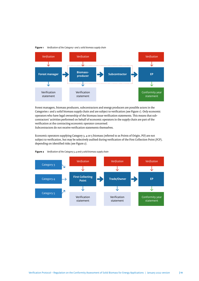#### **Figure 1** *Verifcation of the Category 1 and 2 solid biomass supply chain*



Forest managers, biomass producers, subcontractors and energy producers are possible actors in the Categories 1 and 2 solid biomass supply chain and are subject to verifcation (see Figure 1). Only economic operators who have legal ownership of the biomass issue verifcation statements. This means that subcontractors' activities performed on behalf of economic operators in the supply chain are part of the verifcation at the contracting economic operator concerned. Subcontractors do not receive verifcation statements themselves.

Economic operators supplying Category 3, 4 or 5 biomass (referred to as Points of Origin, PO) are not subject to verifcation, but may be selectively audited during verifcation of the First Collection Point (FCP), depending on identifed risks (see Figure 2).



**Figure 2** *Verifcation of the Category 3, 4 and 5 solid biomass supply chain*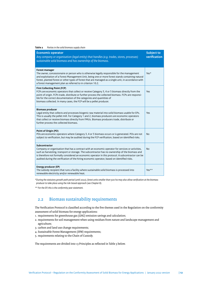<span id="page-11-0"></span>

| Table 2<br>Parties in the solid biomass supply chain                                                                                                                                                                                                                                                                                                                                                                       |                                   |
|----------------------------------------------------------------------------------------------------------------------------------------------------------------------------------------------------------------------------------------------------------------------------------------------------------------------------------------------------------------------------------------------------------------------------|-----------------------------------|
| <b>Economic operator</b><br>Any company or organisation (legal entity) that handles (e.g. trades, stores, processes)<br>sustainable solid biomass and has ownership of the biomass.                                                                                                                                                                                                                                        | <b>Subject to</b><br>verification |
| <b>Forest manager</b><br>The owner, concessionaire or person who is otherwise legally responsible for the management<br>and exploitation of a Forest Management Unit, being one or more forest stands containing natural<br>forest, planted forest or other types of forest that are managed as a single unit, in accordance with<br>a forest management plan as referred to in criterion 10.2.                            | Yes*                              |
| <b>First Collecting Point (FCP)</b><br>FCPs are economic operators that collect or receive Category 3, 4 or 5 biomass directly from the<br>point of origin. FCPs trade, distribute or further process the collected biomass. FCPs are responsi-<br>ble for the correct documentation of the categories and quantities of<br>biomass collected. In many cases, the FCP will be a pellet producer.                           | Yes                               |
| <b>Biomass producer</b><br>Legal entity that collects and processes biogenic raw material into solid biomass usable for EPs.<br>This is usually the pellet mill. For Category 1 and 2, biomass producers are economic operators<br>that collect or receive biomass directly from FMUs. Biomass producers trade, distribute or<br>further process the collected biomass.                                                    | Yes                               |
| Point of Origin (PO)<br>POs are economic operators where Category 3, 4 or 5 biomass occurs or is generated. POs are not<br>subject to verification, but may be audited during the FCP verification, based on identified risks.                                                                                                                                                                                             | <b>No</b>                         |
| Subcontractor<br>Company or organisation that has a contract with an economic operator for services or activities,<br>such as harvesting, transport or storage. The subcontractor has no ownership of the biomass and<br>is therefore not formally considered an economic operator in this protocol. A subcontractor can be<br>audited during the verification of the hiring economic operator, based on identified risks. | No                                |
| Energy producer (EP)<br>The subsidy recipient that runs a facility where sustainable solid biomass is processed into<br>renewable electricity and/or renewable heat.                                                                                                                                                                                                                                                       | $Yes**$                           |

*\*During the statutory growth path period (until 2022), forest units smaller than 500 ha may also allow verifcation at the biomass producer to take place using the risk-based approach (see Chapter 8).*

*\*\* For the EP, this is the conformity year statement.*

# 2.2 Biomass sustainability requirements

The Verifcation Protocol is classifed according to the fve themes used in the Regulation on the conformity assessment of solid biomass for energy applications:

- 1. requirements for greenhouse gas (GHG) emission savings and calculation;
- 2. requirements for soil management when using residues from nature and landscape management and agriculture;
- 3. carbon and land use change requirements;
- 4. Sustainable Forest Management (SFM) requirements;
- 5. requirements relating to the Chain of Custody.

The requirements are divided into 13 Principles as reflected in Table 3 below.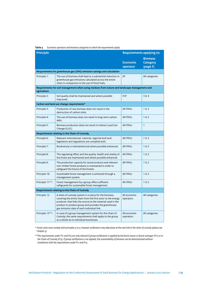**Table 3** *Economic operators and biomass categories to which the requirements apply:*

| <b>Principle</b> |                                                                                                                                                                                                                                                                                             | <b>Requirements applying to:</b> |                                               |
|------------------|---------------------------------------------------------------------------------------------------------------------------------------------------------------------------------------------------------------------------------------------------------------------------------------------|----------------------------------|-----------------------------------------------|
|                  |                                                                                                                                                                                                                                                                                             | <b>Economic</b><br>operator      | <b>Biomass</b><br><b>Category</b><br>(page 5) |
|                  | Requirements for greenhouse gas (GHG) emission savings and calculation                                                                                                                                                                                                                      |                                  |                                               |
| Principle 1:     | The use of biomass shall lead to a substantial reduction in<br>greenhouse gas emissions calculated across the entire<br>chain in comparison to the use of fossil fuels.                                                                                                                     | EP                               | All categories                                |
| agriculture      | Requirements for soil management when using residues from nature and landscape management and                                                                                                                                                                                               |                                  |                                               |
| Principle 2:     | Soil quality shall be maintained and where possible<br>improved.                                                                                                                                                                                                                            | <b>FCP</b>                       | 384                                           |
|                  | Carbon and land use change requirements*                                                                                                                                                                                                                                                    |                                  |                                               |
| Principle 3:     | Production of raw biomass does not result in the<br>destruction of carbon sinks.                                                                                                                                                                                                            | All FMUs                         | $1\,6\,2$                                     |
| Principle 4:     | The use of biomass does not result in long-term carbon<br>debt.                                                                                                                                                                                                                             | All FMUs                         | $1\,\mathrm{g}$ 2                             |
| Principle 5:     | Biomass production does not result in Indirect Land Use<br>Change (ILUC).                                                                                                                                                                                                                   | All FMUs                         | $\mathbf{1}$                                  |
|                  | Requirements relating to the Chain of Custody.                                                                                                                                                                                                                                              |                                  |                                               |
| Principle 6:     | Relevant international, national, regional and local<br>legislation and regulations are complied with.                                                                                                                                                                                      | All FMUs                         | $1\,\mathrm{E}$ 2                             |
| Principle 7:     | Biodiversity is maintained and where possible enhanced.                                                                                                                                                                                                                                     | <b>All FMUs</b>                  | $1\,6\,2$                                     |
| Principle 8:     | The regulating effect and the quality, health and vitality of<br>the forest are maintained and where possible enhanced.                                                                                                                                                                     | <b>All FMUs</b>                  | $1\,6\,2$                                     |
| Principle 9:     | The production capacity for wood products and relevant<br>non-timber forest products is maintained in order to<br>safeguard the future of the forests.                                                                                                                                      | <b>All FMUs</b>                  | $1\,6\,2$                                     |
| Principle 10:    | Sustainable forest management is achieved through a<br>management system.                                                                                                                                                                                                                   | <b>All FMUs</b>                  | $1\,6\,2$                                     |
| Principle 11**:  | Forest management by a group offers sufficient<br>safeguards for sustainable forest management.                                                                                                                                                                                             | All FMUs                         | 162                                           |
|                  | <b>Requirements relating to the Chain of Custody</b>                                                                                                                                                                                                                                        |                                  |                                               |
| Principle 12:    | A chain of custody system is in place for the biomass,<br>covering the entire chain from the first actor to the energy<br>producer, that links the source to the material used in the<br>product or product group and provides the greenhouse<br>gas emission data of each individual link. | All economic<br>operators        | All categories                                |
| Principle 13**:  | In case of a group management system for the Chain of<br>Custody, the same requirements shall apply to the group<br>as a whole as to individual businesses.                                                                                                                                 | All economic<br>operators        | All categories                                |

*\* Forest units must comply with principles 3 to 5, however verifcation may take place at the next link in the chain of custody (please see Chapter 5).*

*\*\*The requirements under P11 and P13 are only relevant if group certifcation is applied by the forest owner or forest manager (P11) or in the Chain of Custody (P13). If group certifcation is not applied, the sustainability of biomass can be demonstrated without compliance with the requirements under P11 and P13.*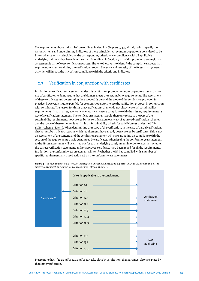<span id="page-13-0"></span>The requirements above (principles) are outlined in detail in Chapters 3, 4, 5, 6 and 7, which specify the various criteria and underpinning indicators of these principles. An economic operator is considered to be in compliance with a principle and the corresponding criteria once compliance with all applicable underlying indicators has been demonstrated. As outlined in Section 9.2.2 of this protocol, a strategic risk assessment is part of every verifcation process. The key objective is to identify the compliance aspects that require more atention during the verifcation process. The scale and intensity of the forest management activities will impact the risk of non-compliance with the criteria and indicators

# 2.3 Verifcation in conjunction with certifcates

In addition to verifcation statements, under this verifcation protocol, economic operators can also make use of certifcates to demonstrate that the biomass meets the sustainability requirements. The assessment of these certifcates and determining their scope falls beyond the scope of the verifcation protocol. In practice, however, it is quite possible for economic operators to use the verifcation protocol in conjunction with certifcates. The reason for this is that certifcation schemes do not always cover all sustainability requirements. In such cases, economic operators can ensure compliance with the missing requirements by way of a verifcation statement. The verifcation statement would then only relate to the part of the sustainability requirements not covered by the certifcate. An overview of approved certifcation schemes and the scope of these schemes is available on [Sustainability criteria for solid biomass under the SDE+/](https://english.rvo.nl/subsidies-programmes/sde/sustainability-criteria) [SDE++-scheme | RVO.nl.](https://english.rvo.nl/subsidies-programmes/sde/sustainability-criteria) When determining the scope of the verifcation, in the case of partial verifcation, checks must be made to ascertain which requirements have already been covered by certifcates. This is not an assessment of the content, and the verifcation statement will make no ruling on compliance with the section of the requirements that is guaranteed by certifcates. When issuing the conformity year statement to the EP, an assessment will be carried out for each underlying consignment in order to ascertain whether the correct verifcation statements and/or approved certifcates have been issued for all the requirements. In addition, the conformity year assessment will verify whether the EP has complied with a number of specifc requirements (also see Section 2.6 on the conformity year statement).



**Figure 3** *The combination of the scopes of the certifcates and verifcation statements present covers all the requirements for the biomass consignment. An example for a consignment of Category 3 biomass.*

Please note that, if 12.2 and/or 12.4 and/or 12.5 take place by verifcation, then 12.5 must also take place by that same verifcation.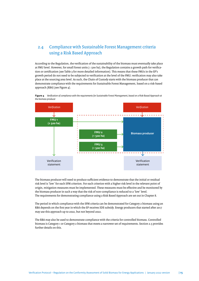# <span id="page-14-0"></span>2.4 Compliance with Sustainable Forest Management criteria using a Risk Based Approach

According to the Regulation, the verifcation of the sustainability of the biomass must eventually take place at FMU level. However, for small forest units  $(<$  500 ha), the Regulation contains a growth path for verification or certifcation (see Table 3 for more detailed information). This means that these FMUs in the EP's growth period do not need to be subjected to verifcation at the level of the FMU; verifcation may also take place at the sourcing area level. As such, the Chain of Custody starts with the biomass producer that can demonstrate compliance with the requirements for Sustainable Forest Management, based on a risk-based approach (RBA) (see Figure 4).



**Figure 4** *Verifcation of compliance with the requirements for Sustainable Forest Management, based on a Risk Based Approach at the biomass producer*

The biomass producer will need to produce sufficient evidence to demonstrate that the initial or residual risk level is 'low' for each SFM criterion. For each criterion with a higher risk level in the relevant point of origin, mitigation measures must be implemented. These measures must be efective and be monitored by the biomass producer in such a way that the risk of non-compliance is reduced to a 'low' level. The requirements for demonstrating compliance using a Risk Based Approach are set out in Chapter 8.

The period in which compliance with the SFM criteria can be demonstrated for Category 2 biomass using an RBA depends on the first year in which the EP receives SDE subsidy. Energy producers that started after 2017 may use this approach up to 2022, but not beyond 2022.

The RBA may also be used to demonstrate compliance with the criteria for controlled biomass. Controlled biomass is Category 1 or Category 2 biomass that meets a narrower set of requirements. Section 2.5 provides further details on this.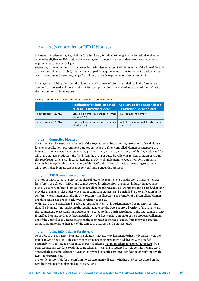# <span id="page-15-0"></span>2.5 30% controlled or RED II biomass

The General Implementing Regulations for Stimulating Sustainable Energy Production stipulate that, in order to be eligible for SDE subsidy, the percentage of biomass from forests that meets a narrower set of requirements cannot exceed 30%.

Depending on whether the plant is covered by the implementation of RED II (in terms of the date of the SDE application and the plant size), this set is made up of the requirements in the former 12.6 criterion (as set out in Government Gazette 2017, 70368 ) or all the applicable requirements pursuant to RED II.

The diagram in Table 4 illustrates the plants in which controlled biomass (as defned in the former 12.6 criterion) can be used and those in which RED II compliant biomass can used, up to a maximum of 30% of the total amount of biomass used.

|                             | Application for decision dated<br>prior to 21 December 2018 | <b>Application for decision dated</b><br>21 December 2018 or later |
|-----------------------------|-------------------------------------------------------------|--------------------------------------------------------------------|
| Input capacity $\geq 20$ MW | Controlled biomass as defined in former<br>criterion 12.6   | RED II compliant biomass                                           |
| Input capacity < 20 MW      | Controlled biomass as defined in former<br>criterion 12.6   | Controlled biomass as defined in former<br>criterion 12.6          |

**Table 4** *Decisions in scope for controlled biomass or RED II compliant biomass.*

### **2.5.1 Controlled biomass**

The former Requirement 12.6 in Annex B of the Regulation on the conformity assessment of solid biomass for energy applications ([Government Gazete 2017, 70368](https://zoek.officielebekendmakingen.nl/stcrt-2017-70368.html) ) defnes controlled biomass as Category 1 or 2 biomass that only meets Requirements 1.1, 3.1, 3.2, 3.3, 4.1, 4.2, 4.3, 5.1, 7.1 and 7.3 of the Regulation and for which the biomass producer is the frst link in the Chain of Custody. Following implementation of RED II, this set of requirements was incorporated into the General Implementing Regulations for Stimulating Sustainable Energy Production. Chapter 7 of this Verifcation Protocol provides the mixing rules under which controlled biomass can be used for verifcation under this protocol.

## **2.5.2 RED II compliant biomass**

The 30% of RED II compliant biomass is also subject to the requirement that the biomass must originate from forest, as defned in RED II, and cannot be woody residues from the timber industry. In new, larger plants, up to 30% of forest biomass that meets all of the relevant RED II requirements can be used. Chapter 7 provides the mixing rules under which RED II compliant biomass can be included in the verifcation of the conformity year statement at the EP. Only Section 7.5 in Chapter 7 is relevant for RED II compliant biomass, and this section also applies exclusively in relation to the EP.

With regard to the plants listed in Table 4, sustainability can only be demonstrated using RED II certifcation. This biomass is not subject to the requirement to use the Dutch approved version of the scheme, nor the requirement to use Conformity Assessment Bodies holding Dutch accreditation. The total tonnes of RED II certifed biomass used, as defned in Article 29(1) of Directive (EU) 2018/2001 of the European Parliament and of the Council of 11 December 2018 on the promotion of the use of energy from renewable sources, cannot amount to more than 30% of the tonnes of Category 1 and 2 biomass used.

# **2.5.3 Using RED II claims for the 30%**

To be able to use 30% RED II biomass in a plant, it is necessary to demonstrate that the biomass meets the criteria in Article 29 RED II. This means consignments of biomass must be delivered with Proof of Sustainability (PoS) issued under an EC accredited scheme ([Voluntary schemes | Energy \(europa.eu](https://ec.europa.eu/energy/topics/renewable-energy/biofuels/voluntary-schemes_en))) by a party certifed in accordance with the same scheme. The EP is also required to hold certifcation in accordance with this scheme. Where an SDE plant is covered under this protocol, verifcation of conformity with RED II is not permited.

The verifer responsible for the conformity year statement will assess whether the feedstock listed on the certifcate can in fact be classifed as Category 1 or 2.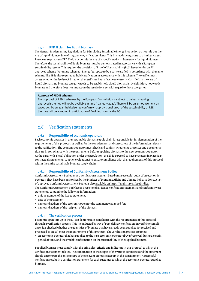#### <span id="page-16-0"></span>**2.5.4 RED II claim for liquid biomass**

The General Implementing Regulations for Stimulating Sustainable Energy Production do not rule out the use of liquid biomass in co-fring and co-gasifcation plants. This is already being done to a limited extent. European regulations (RED II) do not permit the use of a specifc national framework for liquid biomass. Therefore, the sustainability of liquid biomass must be demonstrated in accordance with a European sustainability system. This requires the provision of Proof of Sustainability (PoS) issued under an EC approved scheme [\(Voluntaryschemes | Energy \(europa.eu\)\)](https://ec.europa.eu/energy/topics/renewable-energy/biofuels/voluntary-schemes_en) by a party certifed in accordance with the same scheme. The EP is also required to hold certifcation in accordance with this scheme. The verifer must assess whether the feedstock listed on the certifcate has in fact been correctly classifed. In the case of liquid biomass, no biomass category needs to be established. Liquid biomass is, by defnition, not woody biomass and therefore does not impact on the restrictions set with regard to those categories.

#### **Approval of RED II schemes**

The approval of RED II schemes by the European Commission is subject to delays, meaning approved schemes will not be available in time (1 January 2022). There will be an announcement on www.rvo.nl/duurzaamheidseisen to confrm what provisional proof of the sustainability of RED II biomass will be accepted in anticipation of fnal decisions by the EC.

# 2.6 Verifcation statements

#### **2.6.1 Responsibility of economic operators**

Each economic operator in the sustainable biomass supply chain is responsible for implementation of the requirements of this protocol, as well as for the completeness and correctness of the information relevant to the verifcation. The economic operator must check and confrm whether its processes and documentation are in compliance with the requirements before supplying biomass to the next economic operator. As the party with a legal obligation under the Regulation, the EP is expected to have processes in place (e.g. contractual agreements, supplier evaluations) to ensure compliance with the requirements of this protocol within the entire sustainable biomass supply chain.

## **2.6.2 Responsibility of Conformity Assessment Bodies**

Conformity Assessment Bodies issue a verifcation statement based on a successful audit of an economic operator. They have been authorised by the Minister of Economic Afairs and Climate Policy to do so. A list of approved Conformity Assessment Bodies is also [available on htps://english.rvo.nl/subsidies.](http://www.rvo.nl/duurzaamheidseisen) The Conformity Assessment Body keeps a register of all issued verifcation statements and conformity year statements, containing the following information:

- unique number of the issued statement;
- date of the statement;
- name and address of the economic operator the statement was issued for;
- name and address of the recipient of the biomass.

#### **2.6.3 The verifcation process**

Economic operators up to the EP can demonstrate compliance with the requirements of this protocol through a verifcation process. This is conducted by way of post-delivery verifcation. In verifying compliance, it is checked whether the quantities of biomass that have already been supplied (or received and processed by an EP) meet the requirements of this protocol. The verifcation process assumes:

• an economic operator that has supplied to the next economic operator (buyer/receiver) during a certain period of time, and the available information on the sustainability of the supplied biomass.

Supplied biomass must comply with the principles, criteria and indicators in this protocol to which the verifcation statement relates. The combination of the scopes of the various certifcates and the statement should encompass the entire scope of the relevant biomass category in the consignment. A successful verifcation results in a verifcation statement for each customer to which the economic operator supplies biomass.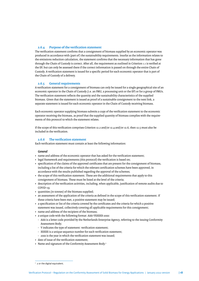# **2.6.4 Purpose of the verifcation statement**

The verifcation statement confrms that a consignment of biomass supplied by an economic operator was produced in accordance with (part of) the sustainability requirements. Insofar as the information relates to the emissions reduction calculation, the statement confrms that the necessary information that has gone through the Chain of Custody is correct. Afer all, the requirement as outlined in Criterion 1.1 is verifed at the EP, but can only be assessed there if the correct information is passed on through the entire Chain of Custody. A verifcation statement is issued for a specifc period for each economic operator that is part of the Chain of Custody of a delivery.

## **2.6.5 General requirements**

A verifcation statement for a consignment of biomass can only be issued for a single geographical site of an economic operator in the Chain of Custody (i.e. an FMU, a processing unit or the EP) or for a group of FMUs. The verification statement reflects the quantity and the sustainability characteristics of the supplied biomass. Given that the statement is issued as proof of a sustainable consignment to the next link, a separate statement is issued for each economic operator in the Chain of Custody receiving biomass.

Each economic operator supplying biomass submits a copy of the verifcation statement to the economic operator receiving the biomass, as proof that the supplied quantity of biomass complies with the requirements of this protocol to which the statement relates.

If the scope of this verifcation comprises Criterion 12.2 and/or 12.4 and/or 12.6, then 12.5 must also be included in the verifcation.

## **2.6.6 The verifcation statement**

Each verifcation statement must contain at least the following information:

#### *General*

- name and address of the economic operator that has asked for the verifcation statement;
- legal framework and requirements (this protocol) the verifcation is based on;
- specifcation of the claims of the approved certifcates that are present for the consignment of biomass, including a list of the criteria for which the relevant certifcation schemes have been approved, in accordance with the results published regarding the approval of the schemes;
- the scope of this verifcation statement. These are the additional requirements that apply to this consignment of biomass. These must be listed at the level of the criteria;
- description of the verifcation activities, including, when applicable, justifcation of remote audits due to COVID-19;
- quantities (in tonnes) of the biomass supplied;
- an assessment of the application of the criteria as defned in the scope of this verifcation statement. If these criteria have been met, a positive statement may be issued;
- a specifcation or list of the criteria covered by the certifcates and the criteria for which a positive statement was issued, collectively covering all applicable requirements for this consignment;
- name and address of the recipient of the biomass;
- a unique code with the following format: AAA-VXXXXX-20zz:
	- AAA is a leter code provided by the Netherlands Enterprise Agency, referring to the issuing Conformity Assessment Body;
	- V indicates the type of statement: verifcation statement;
	- XXXXX is a unique sequence number for each verifcation statement;
	- 20zz is the year in which the verifcation statement was issued;
- date of issue of the verifcation statement;
- Name and signature of the Conformity Assessment Body.2

<sup>&</sup>lt;sup>2</sup> 2 or the digital equivalent.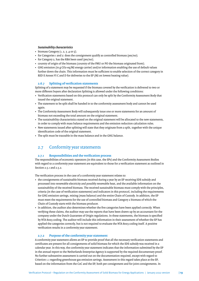## <span id="page-18-0"></span>*Sustainability characteristics*

- biomass Category  $(1, 2, 3, 4$  or  $5)$ ;
- for Categories 1 and 2: does the consignment qualify as controlled biomass (yes/no);
- for Category 2, has the RBA been used (yes/no);
- country of origin of the biomass (country of the FMU or PO the biomass originated from);
- GHG emission (in g CO2-eq/MJ energy carrier) and/or information enabling the use of default values further down the chain. This information must be sufficient to enable selection of the correct category in RED II Annex VI C and D for deliveries to the EP (MJ on lowest heating value).

# **2.6.7 Spliting of verifcation statements**

Spliting of a statement may be requested if the biomass covered by the verifcation is delivered to two or more different buyers after declaration Splitting is allowed under the following conditions:

- Verifcation statements based on this protocol can only be split by the Conformity Assessment Body that issued the original statement.
- The statement to be split shall be handed in to the conformity assessment body and cannot be used again.
- The Conformity Assessment Body will subsequently issue one or more statements for an amount of biomass not exceeding the total amount on the original statement.
- The sustainability characteristics stated on the original statement will be allocated to the new statements, in order to comply with mass balance requirements and the emission reduction calculation rules.
- New statements issued afer spliting will state that they originate from a split, together with the unique identifcation code of the original statement.
- The split must be traceable in the mass balance and in the GHG balance.

# 2.7 Conformity year statements

# **2.7.1 Responsibilities and the verifcation process**

The responsibilities of economic operators (in this case, the EPs) and the Conformity Assessment Bodies with regard to a conformity year statement are equivalent to those for a verifcation statement as outlined in Section 2.5.1 and 2.5.2.

The verifcation process in the case of a conformity year statement relates to:

- the consignments of sustainable biomass received during a year by an EP receiving SDE subsidy and processed into renewable electricity and possibly renewable heat, and the available information on the sustainability of the received biomass. The received sustainable biomass must comply with the principles, criteria (in the case of verifcation statements) and indicators in this protocol, including the requirements for GHG emission savings, mixing (mass balance) and the entire Chain of Custody. In addition, the EP must meet the requirements for the use of controlled biomass and Category 2 biomass of which the Chain of Custody starts with the biomass producer.
- In addition, the auditor also determines whether the fve categories have been applied correctly. When verifying these claims, the auditor may use the reports that have been drawn up by an accountant for the company under the Dutch Guarantee of Origin regulations. In these statements, the biomass is specifed by NTA 8003 coding. The auditor will include this information in their assessment of whether the EP has applied the categories correctly, but is not required to evaluate the NTA 8003 coding itself. A positive verifcation results in a conformity year statement.

## **2.7.2 Purpose of the conformity year statement**

A conformity year statement allows an EP to provide proof that all the necessary verifcation statements and certifcates are present for all consignments of solid biomass for which the SDE subsidy was received in a calendar year. In this way, the conformity year statement indicates that the information submited by the EP in the annual report to the Netherlands Enterprise Agency is supported by the required documentary proof. No further substantive assessment is carried out on the documentation required, except with regard to Criterion 1.1 regarding greenhouse gas emission savings. Assessment in this regard takes place at the EP, based on the information from the CoC and the EP, both per consignment and for joint consignments. In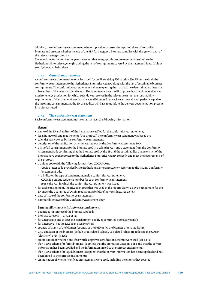addition, the conformity year statement, where applicable, assesses the reported share of controlled biomass and assesses whether the use of the RBA for Category 2 biomass complies with the growth path of the relevant energy company.

The template for the conformity year statement that energy producers are required to submit to the Netherlands Enterprise Agency (including the list of consignments covered by the statement) is available at [rvo.nl/duurzaamheidseisen](http://www.rvo.nl/duurzaamheidseisen).

### **2.7.3 General requirements**

A conformity year statement can only be issued for an EP receiving SDE subsidy. The EP must submit the conformity year statement to the Netherlands Enterprise Agency, along with the list of sustainable biomass consignments. The conformity year statement is drawn up using the mass balance determined no later than 31 December of the relevant calendar year. The statement allows the EP to prove that the biomass that was used for energy production for which subsidy was received in the relevant year met the sustainability requirements of the scheme. Given that the actual biomass fred each year is usually not perfectly equal to the incoming consignments at the EP, the auditor will have to translate the delivery documentation present into biomass used.

# **2.7.4 The conformity year statement**

Each conformity year statement must contain at least the following information:

#### *General*

- name of the EP and address of the installation verifed for the conformity year statement;
- legal framework and requirements (this protocol) the conformity year statement was based on;
- calendar year covered by the conformity year statement;
- description of the verifcation activities carried out by the Conformity Assessment Body;
- a list of all consignments for the biomass used in a calendar year, and a statement from the Conformity Assessment Body confrming that the biomass used by the EP and the sustainability characteristics of the biomass have been reported to the Netherlands Enterprise Agency correctly and meet the requirements of this protocol;
- a unique code with the following format: AAA-CXXXXX-20zz:
- AAA is a leter code provided by the Netherlands Enterprise Agency, referring to the issuing Conformity Assessment Body;
- C indicates the type of statement, namely a conformity year statement;
- XXXXX is a unique sequence number for each conformity year statement;
- 20zz is the year in which the conformity year statement was issued;
- for each consignment, the NTA 8003 code that was used in the reports drawn up by an accountant for the EP under the Guarantee of Origin regulations (for biorefnery residues, see 2.6.6.);
- date of issue of the conformity year statement;
- name and signature of the Conformity Assessment Body.

#### *Sustainability characteristics for each consignment:*

- quantities (in tonnes) of the biomass supplied;
- biomass Category  $(1, 2, 3, 4$  or  $5)$ ;
- for Categories 1 and 2: does the consignment qualify as controlled biomass (yes/no);
- for Category 2, has the RBA been used (yes/no);
- country of origin of the biomass (country of the FMU or PO the biomass originated from);
- GHG emission of the biomass (default or calculated values). Calculated values are reflected in g CO2/MJ (electricity) or MJ (heat);
- an indication of whether, and if so which, approved certification schemes were used (see 2.6.5);
- if an RED II scheme for forest biomass is applied: that the biomass is Category 1 or 2 and that the correct information has been supplied and the information linked to the correct consignments;
- if an RED II scheme for liquid biomass is applied: that the correct information has been supplied and has been linked to the correct consignments;
- an indication of whether verifcation statements were used, including the criteria they covered;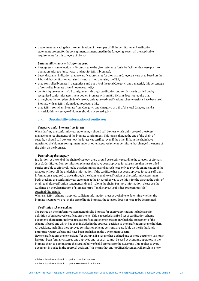• a statement indicating that the combination of the scopes of all the certifcates and verifcation statements present for the consignment, as mentioned in the foregoing, covers all the applicable requirements for this category of biomass.

## *Sustainability characteristics for the year:*

- Average emission reduction in % compared to the given reference (only for facilities that were put into operation prior to 1 January 2021 and not for RED II biomass);
- beyond 2022: an indication that no certifcation claims for biomass in Category 2 were used based on the RBA and that verifcation was similarly not carried out using the RBA;
- used controlled biomass in Categories 1 and 2 as a % of the total Category 1 and 2 material; this percentage of controlled biomass should not exceed 30%;<sup>3</sup>
- conformity assessment of all consignments through certifcation and verifcation is carried out by recognised conformity assessment bodies. Biomass with an RED II claim does not require this;
- throughout the complete chain of custody, only approved certifcations scheme versions have been used. Biomass with an RED II claim does not require this;
- used RED II compliant biomass from Category 1 and Category 2 as a % of the total Category 1 and 2 material; this percentage of biomass should not exceed 30%.4

# **2.7.5 Sustainability information of certifcates**

## *Category 1 and 2: biomass from forests*

When drafing the conformity year statement, it should still be clear which claim covered the forest management requirements of the biomass consignment. This means that, at the end of the chain of custody, it should still be clear how the forest was certifed, even if the other links in the chain have transferred the biomass consignment under another approved scheme certifcate that changed the name of the claim on the biomass.

## *Determining the category*

In addition, at the end of the chain of custody, there should be certainty regarding the category of biomass (1 or 2). Certifcates from certifcation schemes that have been approved for 12.4 ensure that the certifed parties are able to efectively make that determination and as such need only to provide an indication of the category without all the underlying information. If the certificate has not been approved for 12.4, sufficient information is required to travel through the chain to enable verifcation by the conformity assessment body checking the conformity year statement at the EP. Another way to do this is for the party at the point of origin to draft a verification statement and send it along the chain. For more information, please see the Guidance on the Classifcation of Biomass: [htps://english.rvo.nl/subsidies-programmes/sde/](https://english.rvo.nl/subsidies-programmes/sde/sustainability-criteria ) [sustainability-criteria](https://english.rvo.nl/subsidies-programmes/sde/sustainability-criteria )

Where an RED II scheme is applied, sufficient information must be available to determine whether the biomass is Category 1 or 2. In the case of liquid biomass, the category does not need to be determined.

#### *Certifcation scheme updates*

The Decree on the conformity assessment of solid biomass for energy applications includes a strict defnition of an approved certifcation scheme. This is regarded as a fxed set of certifcation scheme documents (hereinafer referred to as a certifcation scheme version) on which the assessment of the scheme is based and which has been included in the approval decision to the certifcation scheme holders. All decisions, including the approved certifcation scheme versions, are available on the Netherlands Enterprise Agency website and have been published in the Government Gazete.

Newer certifcation scheme versions (for example, if a scheme has updated one or more document versions) have not been formally assessed and approved and, as such, cannot be used by economic operators in the biomass chain to demonstrate the sustainability of solid biomass for the SDE grant. This applies to every document included in the approval decision. This means that any modifed document will result in a new

<sup>&</sup>lt;sup>3</sup> Table 4 lists the decisions in scope for controlled biomass.

<sup>4</sup> Table 4 lists the decisions in scope for RED II compliant biomass.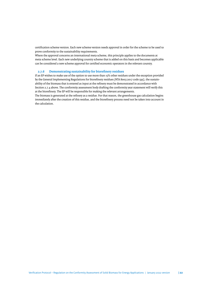certifcation scheme version. Each new scheme version needs approval in order for the scheme to be used to prove conformity to the sustainability requirements.

Where the approval concerns an international meta scheme, this principle applies to the documents at meta scheme level. Each new underlying country scheme that is added on this basis and becomes applicable can be considered a new scheme approval for certifed economic operators in the relevant country.

# **2.7.6 Demonstrating sustainability for biorefnery residues**

If an EP wishes to make use of the option to use more than 15% other residues under the exception provided by the General Implementing Regulations for biorefnery residues (NTA 8003:2017 code 595), the sustainability of the biomass that is entered as input at the refnery must be demonstrated in accordance with Section 2.7.4 above. The conformity assessment body drafing the conformity year statement will verify this at the biorefnery. The EP will be responsible for making the relevant arrangements.

The biomass is generated at the refnery as a residue. For that reason, the greenhouse gas calculation begins immediately afer the creation of this residue, and the biorefnery process need not be taken into account in the calculation.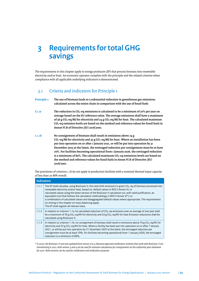# <span id="page-22-0"></span>**3 Requirements for total GHG savings**

The requirements in this chapter apply to energy producers (EP) that process biomass into renewable electricity and/or heat. An economic operator complies with the principle and the related criterion when compliance with all applicable underlying indicators is demonstrated.

# 3.1 Criteria and indicators for Principle 1

**2018/2001.**

| Principle 1:       | The use of biomass leads to a substantial reduction in greenhouse gas emissions<br>calculated across the entire chain in comparison with the use of fossil fuels                                                                                                                                                                                                                                                                                                                                                                                                                                                            |
|--------------------|-----------------------------------------------------------------------------------------------------------------------------------------------------------------------------------------------------------------------------------------------------------------------------------------------------------------------------------------------------------------------------------------------------------------------------------------------------------------------------------------------------------------------------------------------------------------------------------------------------------------------------|
| C <sub>1.1a</sub>  | The reduction in $CO2$ -eq emissions is calculated to be a minimum of $70\%$ per year on<br>average based on the EU reference value. The average emissions shall have a maximum<br>of 56 g CO <sub>2</sub> -eq/MJ for electricity and 24 g CO <sub>2</sub> -eq/MJ for heat. The calculated maximum<br>$CO2$ -eq emission levels are based on the method and reference values for fossil fuels in<br>Annex VI.B of Directive (EU) 2018/2001.                                                                                                                                                                                 |
| c.1.1 <sub>b</sub> | No consignment of biomass shall result in emissions above 74 g<br>$CO_2$ -eq/MJ for electricity and 32 g CO <sub>2</sub> -eq/MJ for heat. Where an installation has been<br>put into operation on or after 1 January 2021, or will be put into operation by 31<br>December 2025 at the latest, the envisaged reduction per consignment must be at least<br>70%. For facilities becoming operational from 1 January 2026, the envisaged reduction<br>is a minimum of 80%. The calculated maximum $CO2$ -eq emissions levels are based on<br>the method and reference values for fossil fuels in Annex VI.B of Directive (EU) |

The provisions of criterion 1.1b do not apply to production facilities with a nominal thermal input capacity of less than 20 MW overall.

|       | <b>Indicators</b>                                                                                                                                                                                                                                                                                                                                                                                                                                                                                                                                                                                                       |  |
|-------|-------------------------------------------------------------------------------------------------------------------------------------------------------------------------------------------------------------------------------------------------------------------------------------------------------------------------------------------------------------------------------------------------------------------------------------------------------------------------------------------------------------------------------------------------------------------------------------------------------------------------|--|
| 1.1.1 | The EP shall calculate, using BioGrace-II, the total GHG emissions in gram $CO2$ -eq of biomass processed into<br>renewable electricity and/or heat, based on: default values in RED II Annex VI; or<br>calculated values using the latest version of the BioGrace-II calculation (or, with valid justification, an<br>equivalent tool that follows the calculation methodology in RED II Annex $VI^*$ ; or<br>a combination of calculated values and disaggregated default values where appropriate. The requirements<br>on mixing in the chapter on mass balancing apply.<br>The EP shall register all relevant data. |  |
| 1.1.2 | In relation to criterion 1.1a, he calculated reduction of $CO2$ -eq emissions over an average of one year shall<br>be a maximum of 56 g $CO_2$ -eq/MJ for electricity and 24 g $CO_2$ -eq/MJ for heat Emission reductions shall be<br>calculated using BioGrace-II.                                                                                                                                                                                                                                                                                                                                                     |  |
| 1.1.3 | In relation to criterion 1.1b, no consignment of biomass shall result in emissions above 74 g CO <sub>2</sub> -eq/MJ for<br>electricity and 32 g CO <sub>2</sub> -eq/MJ for heat. Where a facility has been put into operation on or after 1 January<br>2021, or will be put into operation by 31 December 2025 at the latest, the envisaged reduction per<br>consignment must be at least 70%. For facilities becoming operational from 1 January 2026, the envisaged<br>reduction is a minimum of 80%.                                                                                                                |  |

*\* In 2020, the BioGrace-II tool was updated from version 3 to 4. Because approved certifcation schemes that work with BioGrace-II are transitioning in 2021, both version 3 and 4 can be used for emission calculations for consignments on the conformity year statement for 2021. Both versions can be used for certifcation and verifcation purposes*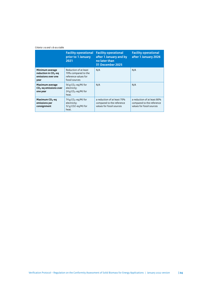#### *Criteria 1.1a and 1.1b as a table*

|                                                                                   | <b>Facility operational</b><br>prior to 1 January<br>2021                              | <b>Facility operational</b><br>after 1 January and by<br>no later than<br>31 December 2025 | <b>Facility operational</b><br>after 1 January 2026                                   |
|-----------------------------------------------------------------------------------|----------------------------------------------------------------------------------------|--------------------------------------------------------------------------------------------|---------------------------------------------------------------------------------------|
| Minimum average<br>reduction in CO <sub>2</sub> -eq<br>emissions over one<br>year | Reduction of at least<br>70% compared to the<br>reference values for<br>fossil sources | N/A                                                                                        | N/A                                                                                   |
| <b>Maximum average</b><br>CO <sub>2</sub> -eq emissions over<br>one year          | 56 g $CO_2$ -eg/MJ for<br>electricity;<br>24 g $CO_2$ -eg/MJ for<br>heat.              | N/A                                                                                        | N/A                                                                                   |
| Maximum CO <sub>2</sub> -eq<br>emissions per<br>consignment                       | 74 g $CO_2$ -eq/MJ for<br>electricity;<br>32 g CO2-eq/MJ for<br>heat.                  | a reduction of at least 70%<br>compared to the reference<br>values for fossil sources      | a reduction of at least 80%<br>compared to the reference<br>values for fossil sources |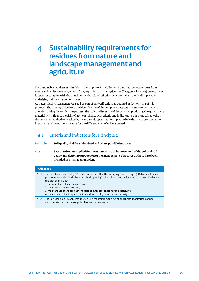# <span id="page-24-0"></span>**4 Sustainability requirements for residues from nature and landscape management and agriculture**

The Sustainable requirements in this chapter apply to First Collection Points that collect residues from nature and landscape management (Category 3 biomass) and agriculture (Category 4 biomass). An economic operator complies with the principle and the related criterion when compliance with all applicable underlying indicators is demonstrated.

A Strategic Risk Assessment (SRA) shall be part of any verifcation, as outlined in Section 9.2.2 of this protocol. The primary objective is the identifcation of the compliance aspects that more or less require atention during the verifcation process. The scale and intensity of the activities producing Category 3 and 4 material will infuence the risks of non-compliance with criteria and indicators in this protocol, as well as the measures required to be taken by the economic operators. Examples include the risk of erosion or the importance of the nutrient balance for the diferent types of soil concerned.

# 4.1 Criteria and indicators for Principle 2

**Principle 2: Soil quality shall be maintained and where possible improved.**

**C2.1 Best practices are applied for the maintenance or improvement of the soil and soil quality in relation to production or the management objectives as these have been included in a management plan.**

|       | <b>Indicators</b>                                                                                                                                                                                                                                                                                                                                                                                                                                                                                            |  |
|-------|--------------------------------------------------------------------------------------------------------------------------------------------------------------------------------------------------------------------------------------------------------------------------------------------------------------------------------------------------------------------------------------------------------------------------------------------------------------------------------------------------------------|--|
| 2.1.1 | The First Collection Point (FCP) shall demonstrate that the supplying Point of Origin (PO) has a policy or a<br>plan for maintaining (and where possible improving) soil quality, based on local best practices. If relevant,<br>this plan shall include:<br>1. key objectives of soil management;<br>2. measures to prevent erosion;<br>3. maintenance of the soil nutrient balance (nitrogen, phosphorus, potassium);<br>4. maintenance of soil organic matter and soil fertility, structure and salinity. |  |
| 2.1.2 | The FCP shall hold relevant information (e.g. reports from the PO, audit reports, monitoring data) to<br>demonstrate that the plan or policy has been implemented.                                                                                                                                                                                                                                                                                                                                           |  |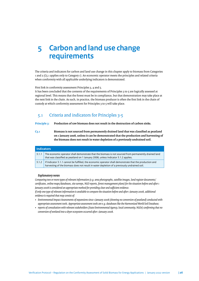# <span id="page-25-0"></span>**5 Carbon and land use change requirements**

The criteria and indicators for carbon and land use change in this chapter apply to biomass from Categories 1 and 2 (C5.1 applies only to Category 1). An economic operator meets the principles and related criteria when conformity with all applicable underlying indicators is demonstrated.

First link in conformity assessment Principles 3, 4 and 5.

It has been concluded that the contents of the requirements of Principles 3 to 5 are logically assessed at regional level. This means that the forest must be in compliance, but that demonstration may take place at the next link in the chain. As such, in practice, the biomass producer is ofen the frst link in the chain of custody at which conformity assessment for Principles 3 to 5 will take place.

# 5.1 Criteria and indicators for Principles 3-5

**Principle 3: Production of raw biomass does not result in the destruction of carbon sinks.**

**C3.1 Biomass is not sourced from permanently drained land that was classifed as peatland on 1 January 2008, unless it can be demonstrated that the production and harvesting of the biomass does not result in water depletion of a previously undrained soil.**

| <b>Indicators</b> |                                                                                                                                                                                                         |
|-------------------|---------------------------------------------------------------------------------------------------------------------------------------------------------------------------------------------------------|
| 3.1.1             | The economic operator shall demonstrate that the biomass is not sourced from permanently drained land<br>that was classified as peatland on 1 January 2008, unless Indicator 3.1.2 applies.             |
| 3.1.2             | If Indicator 3.1.1 cannot be fulfilled, the economic operator shall demonstrate that the production and<br>harvesting of the biomass does not result in water depletion of a previously undrained soil. |

#### *Explanatory notes*

*Comparing two or more types of relevant information (e.g. area photographs, satellite images, land register documents/ certifcates, online maps/databases, site surveys, NGO reports, forest management plans) for the situation before and afer 1*  January 2008 is considered an appropriate method for providing clear and sufficient evidence.

*If only one type of relevant information is available to compare the situation before and afer 1 January 2008, additional evidence is required that may consist of:*

- *Environmental Impact Assessments of expansions since 1 January 2008 (showing no conversion of peatland) conducted with appropriate assessment tools. Appropriate assessment tools are e.g. databases like the Harmonized World Soil Database;*
- *reports of consultation with relevant stakeholders (State Environmental Agency, local community, NGOs) confrming that no conversion of wetland into a dryer ecosystem occurred afer 1 January 2008.*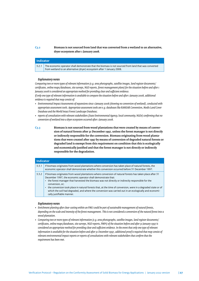# **C3.2 Biomass is not sourced from land that was converted from a wetland to an alternative, dryer ecosystem afer 1 January 2008.**

## **Indicator**

3.2.1 The economic operator shall demonstrate that the biomass is not sourced from land that was converted from wetland to an alternative (dryer) ecosystem after 1 January 2008.

#### *Explanatory notes*

*Comparing two or more types of relevant information (e.g. area photographs, satellite images, land register documents/ certifcates, online maps/databases, site surveys, NGO reports, forest management plans) for the situation before and afer 1*  January 2008 is considered an appropriate method for providing clear and sufficient evidence.

*If only one type of relevant information is available to compare the situation before and afer 1 January 2008, additional evidence is required that may consist of:*

- *Environmental Impact Assessments of expansions since 1 January 2008 (showing no conversion of wetland), conducted with appropriate assessment tools. Appropriate assessment tools are e.g. databases like RAMSAR Convention, Modis Land Cover Database and the World Intact Forest Landscape Database;*
- *reports of consultation with relevant stakeholders (State Environmental Agency, local community, NGOs) confrming that no conversion of wetland into a dryer ecosystem occurred afer 1 January 2008.*

**C3.3 Biomass is not sourced from wood plantations that were created by means of conversion of natural forests afer 31 December 1997, unless the forest manager is not directly or indirectly responsible for the conversion. Biomass originating from wood plantations that were created afer 1997 by means of conversion of degraded natural forests or degraded land is exempt from this requirement on condition that this is ecologically and economically justifed and that the forest manager is not directly or indirectly responsible for the degradation.**

|       | Indicator                                                                                                                                                                                                                                                                                                                                                                                                                                                                                                                                                          |  |
|-------|--------------------------------------------------------------------------------------------------------------------------------------------------------------------------------------------------------------------------------------------------------------------------------------------------------------------------------------------------------------------------------------------------------------------------------------------------------------------------------------------------------------------------------------------------------------------|--|
| 3.3.1 | If biomass originates from wood plantations where conversion has taken place of natural forests, the<br>economic operator shall demonstrate whether this conversion occurred before 31 December 1997.                                                                                                                                                                                                                                                                                                                                                              |  |
| 3.3.2 | If biomass originates from wood plantations where conversion of natural forests has taken place after 31<br>December 1997, the economic operator shall demonstrate that:<br>the forest manager that harvested the biomass was not directly or indirectly responsible for the<br>$\bullet$<br>conversion, or;<br>the conversion took place in natural forests that, at the time of conversion, were in a degraded state or of<br>which the soil had degraded, and where the conversion was carried out in an ecologically and economi-<br>cally justifiable manner. |  |

## *Explanatory notes*

- *Enrichment planting afer clear-cuting within an FMU could be part of sustainable management of natural forests, depending on the scale and intensity of the forest management. This is not considered a conversion of the natural forest into a wood plantation.*
- *Comparing two or more types of relevant information (e.g. area photographs, satellite images, land register documents/ certifcates, online maps/databases, site surveys, NGO reports, FMPs) of the situation before and afer 31 January 1997 is considered an appropriate method for providing clear and sufcient evidence. In the event that only one type of relevant information is available for the situation before and afer 31 December 1997, additional proof is required that may consist of relevant environmental impact reports or reports of consultations with relevant stakeholders that confrm that the requirement has been met.*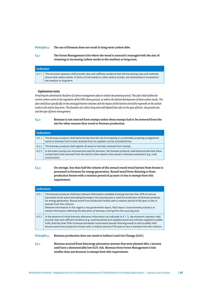#### **Principle 4: The use of biomass does not result in long-term carbon debt.**

**C4.1 The Forest Management Unit where the wood is sourced is managed with the aim of retaining or increasing carbon stocks in the medium or long term.**

| <b>Indicator</b> |                                                                                                                                                                                                                                                   |
|------------------|---------------------------------------------------------------------------------------------------------------------------------------------------------------------------------------------------------------------------------------------------|
| 4.1.1            | The economic operator shall provide clear and sufficient evidence that the harvesting rates and methods<br>ensure that carbon stocks, in terms of tree stands or other carbon proxies, are maintained or increased in<br>the medium or long term. |

#### *Explanatory notes*

*Proof may be submited in the form of a forest management plan or similar documentary proof. This plan shall outline the current carbon stocks in the vegetation of the FMU above ground, as well as the desired development of these carbon stocks. The plan shall focus specifcally on the envisaged harvest volumes and the impact of this harvest and of the regrowth on the carbon stocks in the mid to long term. The duration of a mid to long term will depend inter alia on the type of forest, the growth rate and the type of forest management.*

## **C4.2 Biomass is not sourced from stumps unless these stumps had to be removed from the site for other reasons than wood or biomass production.**

|       | <b>Indicators</b>                                                                                                                                                                                                                |  |
|-------|----------------------------------------------------------------------------------------------------------------------------------------------------------------------------------------------------------------------------------|--|
| 4.2.1 | The biomass producer shall demonstrate that the risk of accepting or accidentally accepting unregistered<br>wood or biomass from trunks received from its suppliers can be considered low.                                       |  |
| 4.2.2 | The biomass producer shall register all wood or biomass received from stumps.                                                                                                                                                    |  |
| 4.2.3 | In the event stumps are removed and used for biomass, the biomass producer shall demonstrate that these<br>stumps had to be removed from the site for other reasons than wood or biomass production (e.g. road<br>construction). |  |

**C4.3 On average, less than half the volume of the annual round wood harvest from forests is processed as biomass for energy generation. Round wood from thinning or from production forests with a rotation period of 40 years or less is exempt from this requirement.**

|       | <b>Indicators</b>                                                                                                                                                                                                                                                                                                                                                                                                                                                                                                                                              |  |
|-------|----------------------------------------------------------------------------------------------------------------------------------------------------------------------------------------------------------------------------------------------------------------------------------------------------------------------------------------------------------------------------------------------------------------------------------------------------------------------------------------------------------------------------------------------------------------|--|
| 4.3.1 | The biomass producer shall have relevant information available showing that less than 50% of annual<br>harvested round wood (excluding thinning) in its sourcing area is used for production of biomass products<br>for energy generation. Round wood from production forests with a rotation period of 40 years or less is<br>exempt from this criterion.<br>Relevant information in this regard is any government report, NGO report, local economy statistics or<br>similar information reflecting the allocation of biomass coming from the sourcing area. |  |
| 4.3.2 | In the absence of initial biomass allocation information (as indicated in 4.1.1), the economic operator shall<br>provide clear and sufficient evidence (e.g. total harvested and supplied wood and volumes supplied to pellet<br>mills) that less than 50% of annual harvested round wood (except thinning wood) is sold to pellet mills.<br>Round wood from production forests with a rotation period of 40 years or less is exempt from this criterion.                                                                                                      |  |

#### **Principle 5: Biomass production does not result in Indirect Land Use Change (ILUC).**

**C5.1 Biomass sourced from bioenergy plantation systems that were planted afer 1 January 2008 have a demonstrably low ILUC risk. Biomass from Forest Management Units smaller than 500 hectares is exempt from this requirement.**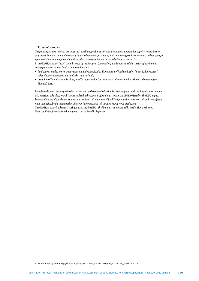## *Explanatory notes*

*The planting systems relate to tree types such as willow, poplar, eucalyptus, acacia and short rotation coppice, where the new crop grows from the stumps of previously harvested stems and/or sprouts, with rotations typically between two and ten years, or systems of short rotation forest plantations using tree species that are harvested within 20 years or less. In the GLOBIOM study*<sup>5</sup> *(2015) commissioned by the European Commission, it is demonstrated that in case of new biomass energy plantation systems (with a short rotation time):*

- *land conversion due to new energy plantations does not lead to displacement of food production (in particular because it takes place on abandoned land and other natural land);*
- *overall, no CO₂ emissions take place, but CO₂ sequestration (i.e. negative ILUC emissions due to large carbon storage in biomass) does.*

*Even if new biomass energy production systems are partly established on land used as cropland until the date of conversion, no CO2 emissions take place overall (comparable with the scenario of perennial crops in the GLOBIOM study). The ILUC impact because of the use of (partly) agricultural land leads to a displacement of food/feed production. However, this emission efect is more than ofset by the sequestration of carbon in biomass and soil through energy wood production.*

*The GLOBIOM study is taken as a basis for assessing the ILUC risk of biomass, as elaborated in the decision tree below. More detailed information on this approach can be found in Appendix 1.*

<sup>5</sup> [htps://ec.europa.eu/energy/sites/ener/fles/documents/Final%20Report\\_GLOBIOM\\_publication.pdf](https://ec.europa.eu/energy/sites/ener/files/documents/Final%20Report_GLOBIOM_publication.pdf)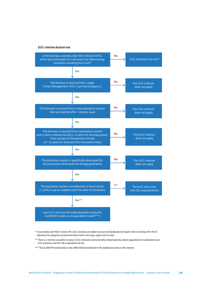## *ILUC criterion decision tree*



*\* In accordance with RED II Annex VIII, ILUC emissions are taken to be zero for feedstocks not listed in Part A of Annex VIII. Part A references the categories of cereal and other starch-rich crops, sugars and oil crops*

*\*\* There is a risk that a possible increase in CO2-emissions cannot be fully compensated by carbon sequestration in plantations (net ILUC emission), but this risk is expected to be low.*

*\*\*\* The GLOBIOM model builds on the LIBB method mentioned in the explanatory notes to the criterion.*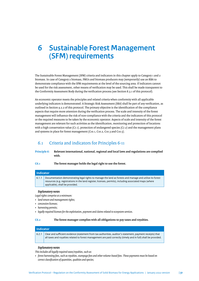# <span id="page-30-0"></span>**6 Sustainable Forest Management (SFM) requirements**

The Sustainable Forest Management (SFM) criteria and indicators in this chapter apply to Category 1 and 2 biomass. In case of Category 2 biomass, FMUs and biomass producers may (temporarily) use an RBA to demonstrate compliance with the SFM requirements at the level of the sourcing area. If indicators cannot be used for the risk assessment, other means of verifcation may be used. This shall be made transparent to the Conformity Assessment Body during the verifcation process (see Section 8.3.1 of this protocol).

An economic operator meets the principles and related criteria when conformity with all applicable underlying indicators is demonstrated. A Strategic Risk Assessment (SRA) shall be part of any verifcation, as outlined in Section 9.2.2 of this protocol. The primary objective is the identifcation of the compliance aspects that require more atention during the verifcation process. The scale and intensity of the forest management will infuence the risk of non-compliance with the criteria and the indicators of this protocol or the required measures to be taken by the economic operator. Aspects of scale and intensity of the forest management are relevant for such activities as the identifcation, monitoring and protection of locations with a high conservation value (C7.1), protection of endangered species (C7.2) and the management plans and systems in place for forest management (C10.1, C10.2, C10.3 and C10.5).

# 6.1 Criteria and indicators for Principles 6-11

**Principle 6: Relevant international, national, regional and local laws and regulations are complied with.**

**C6.1 The forest manager holds the legal right to use the forest.**

## **Indicator**

6.1.1 Documentation demonstrating legal rights to manage the land as forests and manage and utilise its forest resources (e.g. registrations in the land register, licenses, permits), including associated maps (where applicable), shall be provided.

#### *Explanatory notes*

*Legal rights comprise at a minimum:*

- *land tenure and management rights;*
- *concession licenses;*
- *harvesting permits;*
- *legally required licenses for the exploitation, payment and claims related to ecosystem services.*

#### **C6.2 The forest manager complies with all obligations to pay taxes and royalties.**

### **Indicator**

6.2.1 Clear and sufficient evidence (statement from tax authorities, auditor's statement, payment receipts) that all taxes and royalties related to forest management are paid correctly (timely and in full) shall be provided.

# *Explanatory notes*

*This includes all legally required taxes/royalties, such as:*

• *forest harvesting fees, such as royalties, stumpage fees and other volume-based fees. These payments must be based on correct classifcation of quantities, qualities and species;*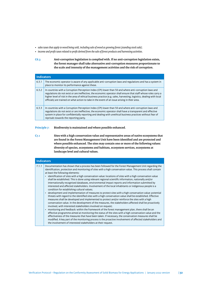- *sales taxes that apply to wood being sold, including sale of wood as growing forest (standing stock sale);*
- *income and proft taxes related to proft derived from the sale of forest products and harvesting activities.*
- **C6.3 Anti-corruption legislation is complied with. If no anti-corruption legislation exists, the forest manager shall take alternative anti-corruption measures proportionate to the scale and intensity of the management activities and the risk of corruption.**

| <b>Indicators</b> |                                                                                                                                                                                                                                                                                                                                                                                                                                                   |
|-------------------|---------------------------------------------------------------------------------------------------------------------------------------------------------------------------------------------------------------------------------------------------------------------------------------------------------------------------------------------------------------------------------------------------------------------------------------------------|
| 6.3.1             | The economic operator is aware of any applicable anti-corruption laws and regulations and has a system in<br>place to monitor its performance against these.                                                                                                                                                                                                                                                                                      |
| 6.3.2             | In countries with a Corruption Perception Index (CPI) lower than 50 and where anti-corruption laws and<br>regulations do not exist or are ineffective, the economic operator shall ensure that staff whose roles carry a<br>higher level of risk in the area of ethical business practice (e.g. sales, harvesting, logistics, dealing with local<br>officials) are trained on what action to take in the event of an issue arising in their area. |
| 6.3.3             | In countries with a Corruption Perception Index (CPI) lower than 50 and where anti-corruption laws and<br>regulations do not exist or are ineffective, the economic operator shall have a transparent and effective<br>system in place for confidentially reporting and dealing with unethical business practices without fear of<br>reprisals towards the reporting party.                                                                       |

## **Principle 7: Biodiversity is maintained and where possible enhanced.**

**C7.1 Sites with a high conservation value and representative areas of native ecosystems that are found in the Forest Management Unit have been identifed and are protected and where possible enhanced. The sites may contain one or more of the following values: diversity of species, ecosystems and habitats, ecosystem services, ecosystems at landscape level and cultural values.**

|       | <b>Indicators</b>                                                                                                                                                                                                                                                                                                                                                                                                                                                                                                                                                                                                                                                                                                                                                                                                                                                                                                                                                                                                                                                                                                                                                                                                                                                                                                                                                                                                                                                                                                                                                                                                                                                                                                                                                                 |  |
|-------|-----------------------------------------------------------------------------------------------------------------------------------------------------------------------------------------------------------------------------------------------------------------------------------------------------------------------------------------------------------------------------------------------------------------------------------------------------------------------------------------------------------------------------------------------------------------------------------------------------------------------------------------------------------------------------------------------------------------------------------------------------------------------------------------------------------------------------------------------------------------------------------------------------------------------------------------------------------------------------------------------------------------------------------------------------------------------------------------------------------------------------------------------------------------------------------------------------------------------------------------------------------------------------------------------------------------------------------------------------------------------------------------------------------------------------------------------------------------------------------------------------------------------------------------------------------------------------------------------------------------------------------------------------------------------------------------------------------------------------------------------------------------------------------|--|
| 7.1.1 | Documentation has shown that a process has been followed for the Forest Management Unit regarding the<br>identification, protection and monitoring of sites with a high conservation value. This process shall contain<br>at least the following elements:<br>identification of sites with a high conservation value: locations of sites with a high conservation value<br>$\bullet$<br>shall be established. This is done using relevant regional scientific information, nationally and/or<br>internationally recognised databases, environmental impact reports and information submitted by<br>interested and affected stakeholders. Involvement of the local inhabitants or indigenous people is a<br>condition for establishing cultural values;<br>development and implementation of measures to protect sites with a high conservation value: potential<br>$\bullet$<br>threats with regard to the identified sites with a high conservation value shall be established. Effective<br>measures shall be developed and implemented to protect and/or reinforce the sites with a high<br>conservation value. In the development of the measures, the stakeholders affected shall be proactively<br>involved, with interested stakeholders involved on request;<br>monitoring and feedback: within the framework of the forest management plan, there shall be an<br>$\bullet$<br>effective programme aimed at monitoring the status of the sites with a high conservation value and the<br>effectiveness of the measures that have been taken. If necessary, the conservation measures shall be<br>modified. A key part of the monitoring process is the proactive involvement of affected stakeholders and<br>the involvement of interested stakeholders at their request. |  |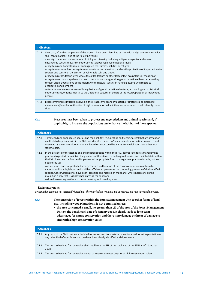| <b>Indicators</b> |                                                                                                                                                                                                                                                                                                                                                                                                                                                                                                                                                                                                                                                                                                                                                                                                                                                                                                                                                                                                                                                                                                                                                                                                                                                   |
|-------------------|---------------------------------------------------------------------------------------------------------------------------------------------------------------------------------------------------------------------------------------------------------------------------------------------------------------------------------------------------------------------------------------------------------------------------------------------------------------------------------------------------------------------------------------------------------------------------------------------------------------------------------------------------------------------------------------------------------------------------------------------------------------------------------------------------------------------------------------------------------------------------------------------------------------------------------------------------------------------------------------------------------------------------------------------------------------------------------------------------------------------------------------------------------------------------------------------------------------------------------------------------|
| 7.1.2             | Sites that, after the completion of the process, have been identified as sites with a high conservation value<br>shall contain at least one of the following values:<br>diversity of species: concentrations of biological diversity, including indigenous species and rare or<br>endangered species that are of importance at global, regional or national level;<br>ecosystems and habitats: rare or endangered ecosystems, habitats or refuges;<br>ecosystem services: basic ecosystem services in critical situations, such as the protection of important water<br>sources and control of the erosion of vulnerable soils and slopes;<br>ecosystems at landscape level: whole forest landscapes or other large intact ecosystems or mosaics of<br>ecosystems on landscape level that are of importance on a global, regional or national level because they<br>contain viable populations of the majority of the natural species in natural patterns with regard to<br>distribution and numbers;<br>cultural values: areas or means of living that are of global or national cultural, archaeological or historical<br>importance and/or fundamental to the traditional cultures or beliefs of the local population or indigenous<br>people. |
| 7.1.3             | Local communities must be involved in the establishment and evaluation of strategies and actions to<br>maintain and/or enhance the sites of high conservation value if they were consulted to help identify these<br>sites.                                                                                                                                                                                                                                                                                                                                                                                                                                                                                                                                                                                                                                                                                                                                                                                                                                                                                                                                                                                                                       |

# **C7.2 Measures have been taken to protect endangered plant and animal species and, if applicable, to increase the populations and enhance the habitats of these species.**

| Indicators |                                                                                                                                                                                                                                                                                                                                                                                                                                                                                                                                                                                                                                                                         |
|------------|-------------------------------------------------------------------------------------------------------------------------------------------------------------------------------------------------------------------------------------------------------------------------------------------------------------------------------------------------------------------------------------------------------------------------------------------------------------------------------------------------------------------------------------------------------------------------------------------------------------------------------------------------------------------------|
| 7.2.1      | Threatened and endangered species and their habitats (e.g. nesting and feeding areas) that are present or<br>are likely to be present within the FMU are identified based on 'best available information' known to and<br>observed by the economic operator and based on what could be learnt from neighbours and other local<br>stakeholders.                                                                                                                                                                                                                                                                                                                          |
| 7.2.2      | In the presence of threatened and endangered species within the FMU, appropriate forest management<br>practices to protect or maintain the presence of threatened or endangered species and their habitats within<br>the FMU have been defined and implemented. Appropriate forest management practices include, but are<br>not limited to:<br>conservation zones (or protected areas). The size and location of the conservation zones conform to<br>national and local legislation and shall be sufficient to guarantee the continuing presence of the identified<br>species. Conservation zones have been identified and marked on maps and, where necessary, on the |
|            | ground, in a way that is visible when entering the zone; and<br>reduced harvesting methods to protect nesting and breeding sites.                                                                                                                                                                                                                                                                                                                                                                                                                                                                                                                                       |

# *Explanatory notes*

*Conservation zones are not necessarily forestland. They may include wetlands and open space and may have dual purposes.*

**C7.3 The conversion of forests within the Forest Management Unit to other forms of land use, including wood plantations, is not permited unless:**

> • **the area concerned is small, no greater than 5% of the area of the Forest Management Unit on the benchmark date of 1 January 2008, it clearly leads to long-term advantages for nature conservation and there is no damage or threat of damage to sites with a high conservation value.**

| <b>Indicators</b> |       |                                                                                                                                                                                                   |
|-------------------|-------|---------------------------------------------------------------------------------------------------------------------------------------------------------------------------------------------------|
|                   | 7.3.1 | Any parts of the FMU that are scheduled for conversion from natural or semi-natural forest to plantation or<br>any other kind of non-forest land use have been clearly identified and documented. |
|                   | 7.3.2 | The areas scheduled for conversion shall total less than 5% of the total area of the FMU as of 1 January<br>2008.                                                                                 |
|                   | 7.3.3 | The areas scheduled for conversion do not damage or threaten any site of high conservation value.                                                                                                 |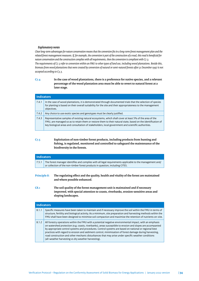## *Explanatory notes*

*Clear long-term advantages for nature conservation means that the conversion fts in a long-term forest management plan and the related forest management measures. If, for example, the conversion is part of the construction of a road, this road is benefcial for nature conservation and the construction complies with all requirements, then the conversion is compliant with C7.3. The requirements of C7.3 refer to conversion within an FMU to other types of land use, including wood plantations. Beside this, biomass from wood plantations that were created by conversion of natural or semi-natural forests afer 31 December 1997 is not accepted according to C3.3.*

# **C7.4 In the case of wood plantations, there is a preference for native species, and a relevant percentage of the wood plantation area must be able to revert to natural forest at a later stage.**

| <b>Indicators</b> |                                                                                                                                                                                                                                                                                                                                |
|-------------------|--------------------------------------------------------------------------------------------------------------------------------------------------------------------------------------------------------------------------------------------------------------------------------------------------------------------------------|
| 7.4.1             | In the case of wood plantations, it is demonstrated through documented trials that the selection of species<br>for planting is based on their overall suitability for the site and their appropriateness to the management<br>objectives.                                                                                      |
| 7.4.2             | Any choice to use exotic species and genotypes must be clearly justified.                                                                                                                                                                                                                                                      |
| 7.4.3             | Representative samples of existing natural ecosystems, which shall cover at least 5% of the area of the<br>FMU, are managed so as to retain them or restore them to their natural state, based on the identification of<br>key biological areas and consultation of stakeholders, local government and scientific authorities. |

# **C7.5 Exploitation of non-timber forest products, including products from hunting and fshing, is regulated, monitored and controlled to safeguard the maintenance of the biodiversity in the forests.**

| <b>Indicators</b>           |                                                                                                                                                                                                                                                                                                                                           |
|-----------------------------|-------------------------------------------------------------------------------------------------------------------------------------------------------------------------------------------------------------------------------------------------------------------------------------------------------------------------------------------|
| 7.5.1                       | The forest manager identifies and complies with all legal requirements applicable to the management and/<br>or collection of the non-timber forest products in question, including CITES.                                                                                                                                                 |
| <b>Principle 8:</b><br>C8.1 | The regulating effect and the quality, health and vitality of the forest are maintained<br>and where possible enhanced.<br>The soil quality of the forest management unit is maintained and if necessary<br>improved, with special attention to coasts, riverbanks, erosion-sensitive areas and                                           |
|                             | sloping landscapes.                                                                                                                                                                                                                                                                                                                       |
| <b>Indicators</b>           |                                                                                                                                                                                                                                                                                                                                           |
| 8.1.1                       | Specific measures have been taken to maintain and if necessary improve the soil within the FMU in terms of<br>structure, fertility and biological activity. As a minimum, site preparation and harvesting methods within the<br>FMU shall have been designed to minimise soil compaction and maximise the retention of nutrients on-site. |

#### 8.1.2 All forestry operations within the FMU with a potential negative environmental impact, with an emphasis on watershed protection (e.g. coasts, riverbanks), areas susceptible to erosion and slopes are accompanied by appropriate control systems and procedures. Control systems are based on national or regional best practices with regard to erosion and sediment control, minimisation of forest damage during harvesting, road construction and other mechanic disturbances that may arise under specifc weather conditions (all-weather harvesting vs dry weather harvesting).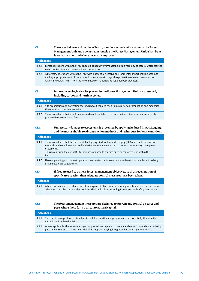# **C8.2 The water balance and quality of both groundwater and surface water in the Forest Management Unit and downstream (outside the Forest Management Unit) shall be at least maintained and where necessary improved.**

| <b>Indicators</b> |                                                                                                                                                                                                                                                                                                       |
|-------------------|-------------------------------------------------------------------------------------------------------------------------------------------------------------------------------------------------------------------------------------------------------------------------------------------------------|
| 8.2.1             | Forest operations within the FMU should not negatively impact the local hydrology of natural water courses,<br>water bodies, riparian zones and their connections.                                                                                                                                    |
| 8.2.2             | All forestry operations within the FMU with a potential negative environmental impact shall be accompa-<br>nied by appropriate control systems and procedures with regard to protection of water resources both<br>within and downstream from the FMU, based on national and regional best practices. |

## **C8.3 Important ecological cycles present in the Forest Management Unit are preserved, including carbon and nutrient cycles.**

| <b>Indicators</b> |                                                                                                                                             |
|-------------------|---------------------------------------------------------------------------------------------------------------------------------------------|
| 8.3.1             | Site preparation and harvesting methods have been designed to minimise soil compaction and maximise<br>the retention of nutrients on-site.  |
| 8.3.2             | There is evidence that specific measures have been taken to ensure that sensitive areas are sufficiently<br>protected from erosion or fire. |

# **C8.4 Unnecessary damage to ecosystems is prevented by applying Reduced Impact Logging and the most suitable road construction methods and techniques for local conditions.**

| <b>Indicators</b> |                                                                                                                                                                                                                                                                                                                                       |
|-------------------|---------------------------------------------------------------------------------------------------------------------------------------------------------------------------------------------------------------------------------------------------------------------------------------------------------------------------------------|
| 8.4.1             | There is evidence that the most suitable logging (Reduced Impact Logging (RIL)) and road construction<br>methods and techniques are used in the Forest Management Unit to prevent unnecessary damage to<br>ecosystems.<br>This may include the use of RIL techniques, adapted to the site-specific characteristics within the<br>FMU. |
| 8.4.2             | Harvest planning and harvest operations are carried out in accordance with national or sub-national (e.g.<br>State) best practice guidelines.                                                                                                                                                                                         |

# **C8.5 If fres are used to achieve forest management objectives, such as regeneration of specifc tree species, then adequate control measures have been taken.**

| Indicator |       |                                                                                                                                                                                                                           |
|-----------|-------|---------------------------------------------------------------------------------------------------------------------------------------------------------------------------------------------------------------------------|
|           | 8.5.1 | Where fires are used to achieve forest management objectives, such as regeneration of specific tree species,<br>adequate control systems and procedures shall be in place, including fire control and safety precautions. |

# **C8.6 The forest management measures are designed to prevent and control diseases and pests where these form a threat to natural capital.**

| <b>Indicators</b> |       |                                                                                                                                                                                                                 |
|-------------------|-------|-----------------------------------------------------------------------------------------------------------------------------------------------------------------------------------------------------------------|
|                   | 8.6.1 | The forest manager has identified pests and diseases that are present and that potentially threaten the<br>natural stock within the FMU.                                                                        |
|                   | 8.6.2 | Where applicable, the forest manager has procedures in place to prevent and control potential and existing<br>pests and diseases that have been identified (e.g. by applying Integrated Pest Management (IPM)). |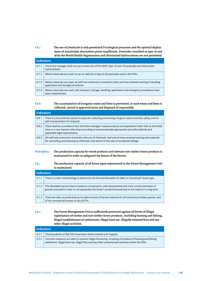**C8.7 The use of chemicals is only permited if ecological processes and the optimal deploy**ment of sustainable alternatives prove insufficient. Pesticides classified as type 1A and **1B by the World Health Organisation and chlorinated hydrocarbons are not permited.**

| <b>Indicators</b> |                                                                                                                                                      |
|-------------------|------------------------------------------------------------------------------------------------------------------------------------------------------|
| 8.7.1             | The forest manager shall not use or store any of the WHO Type 1A and 1B pesticides and chlorinated<br>hydrocarbons.                                  |
| 8.7.2             | Where chemicals are used, an up-to-date list is kept of all pesticides used in the FMU.                                                              |
| 8.7.3             | Where chemicals are used, all staff and contractors involved in their use have received training in handling,<br>application and storage procedures. |
| 8.7.4             | Where chemicals are used, safe transport, storage, handling, application and emergency procedures have<br>been implemented.                          |

# **C8.8 The accumulation of inorganic waste and liter is prevented, or such waste and liter is collected, stored in approved areas and disposed of responsibly.**

| <b>Indicators</b> |                                                                                                                                                                                                                                                   |
|-------------------|---------------------------------------------------------------------------------------------------------------------------------------------------------------------------------------------------------------------------------------------------|
| 8.8.1             | There is a documented system in place for collecting and storing inorganic waste and litter safely, and for<br>safe transportation for disposal.                                                                                                  |
| 8.8.2             | There shall be no evidence that the forest manager's waste products are disposed of other than at the listed<br>sites or in any manner other than according to environmentally appropriate and safe methods and<br>applicable legal requirements. |
| 8.8.3             | All staff and contractors involved in the use of chemicals, fuel and oil have received training and materials<br>for controlling and cleaning up chemicals, fuel and oil in the case of accidental spillage.                                      |

# **Principle 9: The production capacity for wood products and relevant non-timber forest products is maintained in order to safeguard the future of the forests.**

### **C9.1 The production capacity of all forest types represented in the Forest Management Unit is maintained.**

| <b>Indicators</b> |                                                                                                                                                                                                                  |
|-------------------|------------------------------------------------------------------------------------------------------------------------------------------------------------------------------------------------------------------|
| 9.1.1             | There is a clear methodology to determine the Annual Allowable Cut (AAC) or harvest per forest type.                                                                                                             |
| 9.1.2             | The allowable harvest level is based on conservative, well-documented and most current estimates of<br>growth and yield in order to not jeopardise the forest's productive potential in the medium to long term. |
| 9.1.3             | There are clear, accurate and up-to-date records of harvest volumes for all commercial timber species, and<br>of the commercial harvest of any NTFPs.                                                            |

**C9.2** The Forest Management Unit is sufficiently protected against all forms of illegal **exploitation of timber and non-timber forest products, including hunting and fshing, illegal establishment of setlements, illegal land use, illegally initiated fres and any other illegal activities.**

| <b>Indicators</b> |                                                                                                                                                                                                               |
|-------------------|---------------------------------------------------------------------------------------------------------------------------------------------------------------------------------------------------------------|
| 9.2.1             | The boundaries of the FMU have been clearly marked and mapped.                                                                                                                                                |
| 9.2.2             | Concrete measures are taken to prevent illegal harvesting, including of products of hunting and fishing,<br>settlement, illegal land-use, illegal fires and any other unauthorised activities within the FMU. |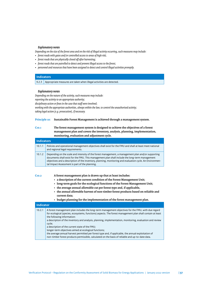#### *Explanatory notes*

*Depending on the size of the forest area and on the risk of illegal activity occurring, such measures may include:*

- *forest roads with gates and/or controlled access to areas of high risk;*
- *forest roads that are physically closed off after harvesting;*
- *forest roads that are patrolled to detect and prevent illegal access to the forest;*
- *personnel and resources that have been assigned to detect and control illegal activities promptly.*

#### **Indicators**

9.2.3 Appropriate measures are taken when illegal activities are detected.

#### *Explanatory notes*

*Depending on the nature of the activity, such measures may include: reporting the activity to an appropriate authority;* disciplinary action or fines in the case that staff were involved; *working with the appropriate authorities, always within the law, to control the unauthorised activity; taking legal action (e.g. prosecution), if necessary.*

#### **Principle 10: Sustainable Forest Management is achieved through a management system.**

# **C10.1 The forest management system is designed to achieve the objectives of a forest management plan and covers the inventory, analysis, planning, implementation, monitoring, evaluation and adjustment cycle.**

| <b>Indicators</b> |                                                                                                                                                                                                                                                                                                                                                                    |
|-------------------|--------------------------------------------------------------------------------------------------------------------------------------------------------------------------------------------------------------------------------------------------------------------------------------------------------------------------------------------------------------------|
| 10.1.1            | Policies and operational management objectives shall exist for the FMU and shall at least meet national<br>and regional legal requirements.                                                                                                                                                                                                                        |
| 10.1.2            | Depending on the scale and intensity of the forest management, a management plan and/or supporting<br>documents shall exist for the FMU. This management plan shall include the long-term management<br>objectives and a description of the inventory, planning, monitoring and evaluation cycle. An Environmen-<br>tal Impact Assessment is part of the planning. |

**C10.2 A forest management plan is drawn up that at least includes:**

- **a description of the current condition of the Forest Management Unit;**
- **long-term goals for the ecological functions of the Forest Management Unit;**
- **the average annual allowable cut per forest type and, if applicable,**
- **the annual allowable harvest of non-timber forest products based on reliable and current data;**
- **budget planning for the implementation of the forest management plan.**

| <b>Indicator</b> |                                                                                                                                                                                                                                                                                                                                                                                                                                                                                                                                                                                                                                                                                            |  |
|------------------|--------------------------------------------------------------------------------------------------------------------------------------------------------------------------------------------------------------------------------------------------------------------------------------------------------------------------------------------------------------------------------------------------------------------------------------------------------------------------------------------------------------------------------------------------------------------------------------------------------------------------------------------------------------------------------------------|--|
| 10.2.1           | A forest management plan includes the long-term management objectives for the FMU, with due regard<br>for ecological (species, ecosystems, functions) aspects. The forest management plan shall contain at least<br>the following information:<br>a description of the inventory and analysis, planning, implementation, monitoring, evaluation and review<br>cycle;<br>a description of the current state of the FMU;<br>longer-term objectives aimed at ecological functions;<br>the average annual harvest permitted per forest type and, if applicable, the annual exploitation of<br>non-timber forest products permissible, calculated on the basis of reliable and up-to-date data. |  |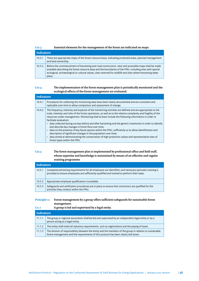| Essential elements for the management of the forest are indicated on maps.<br>C <sub>10.3</sub> |                   |                                                                                                                                                                                                                                                                                                                                            |
|-------------------------------------------------------------------------------------------------|-------------------|--------------------------------------------------------------------------------------------------------------------------------------------------------------------------------------------------------------------------------------------------------------------------------------------------------------------------------------------|
|                                                                                                 | <b>Indicators</b> |                                                                                                                                                                                                                                                                                                                                            |
|                                                                                                 | 10.3.1            | There are appropriate maps of the forest resource base, indicating protected areas, planned management<br>and land ownership.                                                                                                                                                                                                              |
|                                                                                                 | 10.3.2            | Before the commencement of harvesting and road construction, clear and accessible maps shall be made<br>available describing the forest resource base and the boundaries of the FMU, including sites with special<br>ecological, archaeological or cultural values, sites reserved for wildlife and sites where harvesting takes<br>place. |

# **C10.4 The implementation of the forest management plan is periodically monitored and the ecological efects of the forest management are evaluated.**

| Indicators |                                                                                                                                                                                                                                                                                                                                                                                                                                                                                                                                                                                                                                                                                                                                                                                                                                                                         |  |
|------------|-------------------------------------------------------------------------------------------------------------------------------------------------------------------------------------------------------------------------------------------------------------------------------------------------------------------------------------------------------------------------------------------------------------------------------------------------------------------------------------------------------------------------------------------------------------------------------------------------------------------------------------------------------------------------------------------------------------------------------------------------------------------------------------------------------------------------------------------------------------------------|--|
| 10.4.1     | Procedures for collecting the monitoring data have been clearly documented and are consistent and<br>replicable over time to allow comparison and assessment of change.                                                                                                                                                                                                                                                                                                                                                                                                                                                                                                                                                                                                                                                                                                 |  |
| 10.4.2     | The frequency, intensity and expense of the monitoring activities are defined and are appropriate to the<br>scale, intensity and risks of the forest operations, as well as to the relative complexity and fragility of the<br>resources under management. Monitoring shall at least include the following information in order to<br>facilitate evaluation:<br>• data collected during surveys before and after harvesting and the generic inventories in order to identify<br>and describe key changes in forest flora over time;<br>data on the presence of key fauna species within the FMU, sufficiently so to allow identification and<br>٠<br>description of significant changes in the population over time;<br>data aimed at demonstrating the conservation of high protection values and representative sites of<br>$\bullet$<br>forest types within the FMU. |  |

# C10.5 The forest management plan is implemented by professional office and field staff, **whose expertise and knowledge is maintained by means of an efective and regular training programme**

| <b>Indicators</b> |                                                                                                                                                                                                        |  |
|-------------------|--------------------------------------------------------------------------------------------------------------------------------------------------------------------------------------------------------|--|
| 10.5.1            | Competence/training requirements for all employees are identified, and necessary (periodic) training is<br>provided to ensure employees are sufficiently qualified and trained to perform their tasks. |  |
| 10.5.2            | Appropriate employee qualification is available.                                                                                                                                                       |  |
| 10.5.3            | Safeguards and verification procedures are in place to ensure that contractors are qualified for the<br>activities they conduct within the FMU.                                                        |  |

# Principle 11: Forest management by a group offers sufficient safeguards for sustainable forest **management.**

| C <sub>11.1</sub> | A group is led and supervised by a legal entity.                                                                                                                                                 |  |
|-------------------|--------------------------------------------------------------------------------------------------------------------------------------------------------------------------------------------------|--|
| <b>Indicators</b> |                                                                                                                                                                                                  |  |
| 11.1.1            | The group or regional association shall be led and supervised by an independent legal entity or by a<br>person acting as a legal entity.                                                         |  |
| 11.1.2            | The entity shall meet all statutory requirements, such as registrations and the paying of taxes.                                                                                                 |  |
| 11.1.3            | The division of responsibility between the entity and the members of the group in relation to sustainable<br>forest management and the requirements of this protocol has been clearly laid down. |  |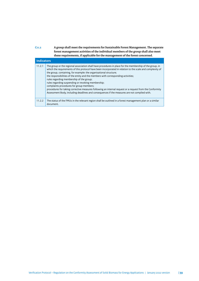**C11.2 A group shall meet the requirements for Sustainable Forest Management. The separate forest management activities of the individual members of the group shall also meet these requirements, if applicable for the management of the forest concerned.**

| <b>Indicators</b> |                                                                                                                                                                                                                                                                                                                                                                                                                                                                                                                                                                                                                                                                                                                                           |  |
|-------------------|-------------------------------------------------------------------------------------------------------------------------------------------------------------------------------------------------------------------------------------------------------------------------------------------------------------------------------------------------------------------------------------------------------------------------------------------------------------------------------------------------------------------------------------------------------------------------------------------------------------------------------------------------------------------------------------------------------------------------------------------|--|
| 11.2.1            | The group or the regional association shall have procedures in place for the membership of the group, in<br>which the requirements of this protocol have been incorporated in relation to the scale and complexity of<br>the group, containing, for example: the organisational structure;<br>the responsibilities of the entity and the members with corresponding activities;<br>rules regarding membership of the group;<br>rules regarding suspending or revoking membership;<br>complaints procedures for group members;<br>procedures for taking corrective measures following an internal request or a request from the Conformity<br>Assessment Body, including deadlines and consequences if the measures are not complied with. |  |
| 11.2.2            | The status of the FMUs in the relevant region shall be outlined in a forest management plan or a similar<br>document.                                                                                                                                                                                                                                                                                                                                                                                                                                                                                                                                                                                                                     |  |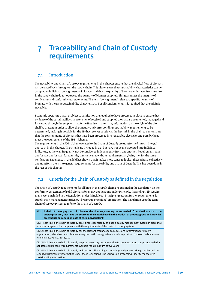# <span id="page-39-0"></span>**7 Traceability and Chain of Custody requirements**

# 7.1 Introduction

The traceability and Chain of Custody requirements in this chapter ensure that the physical fow of biomass can be traced back throughout the supply chain. This also ensures that sustainability characteristics can be assigned to individual consignments of biomass and that the quantity of biomass withdrawn from any link in the supply chain does not exceed the quantity of biomass supplied. This guarantees the integrity of verifcation and conformity year statements. The term "consignment" refers to a specifc quantity of biomass with the same sustainability characteristics. For all consignments, it is required that the origin is traceable.

Economic operators that are subject to verifcation are required to have processes in place to ensure that evidence of the sustainability characteristics of received and supplied biomass is documented, managed and forwarded through the supply chain. At the frst link in the chain, information on the origin of the biomass shall be present in order to allow the category and corresponding sustainability requirements to be determined, making it possible for the EP that receives subsidy as the last link in the chain to demonstrate that the consignments of biomass that have been processed into renewable electricity and possibly heat meet the requirements of the SDE+ Scheme.

The requirements in the SDE+ Scheme related to the Chain of Custody are transformed into an integral approach in this chapter. The criteria are included in 7.2, but have not been elaborated into individual indicators, as they can frequently not be considered independently from one another. Requirements 12.2 and/or 12.4 and/or 12.6, for example, cannot be met without requirement 12.5 being met for the same verifcation. Experience in the feld has shown that it makes more sense to look at these criteria collectively and transform them into general requirements for traceability and Chain of Custody. This has been done in the rest of this chapter.

# 7.2 Criteria for the Chain of Custody as defned in the Regulation

The Chain of Custody requirements for all links in the supply chain are outlined in the Regulation on the conformity assessment of solid biomass for energy applications under Principles P12 and P13. Six requirements were included in the Regulation under Principle 12. Principle 13 sets out further requirements for supply chain management carried out by a group or regional association. The Regulation uses the term chain of custody system to refer to the Chain of Custody.

**P12 A chain of custody system is in place for the biomass, covering the entire chain from the frst actor to the energy producer, that links the source to the material used in the product or product group and provides greenhouse gas emission data of each individual link.** C12.1 Each link in the chain of custody bears fnal responsibility and has a quality management system in place that provides safeguards for compliance with the requirements of the chain of custody system. C12.2 Each link in the chain of custody has the relevant greenhouse gas emissions information for its own organisation, which has been obtained using the methodology reference values provided for fossil fuels in Annex VI.B of Directive (EU) 2018/2001. C12.3 Each link in the chain of custody keeps all necessary documentation for demonstrating compliance with the applicable sustainability requirements available for a minimum of fve years. C12.4 Each link in the chain of custody registers for all incoming or outgoing consignments the quantities and the required sustainability information under these regulations. The verifcation protocol will specify the required sustainability information.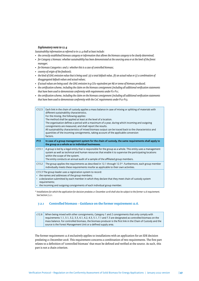### *Explanatory note to 12.4*

*Sustainability information as referred to in 12.4 shall at least include:*

- *the correctly established biomass category or information that allows the biomass category to be clearly determined;*
- *for Category 2 biomass: whether sustainability has been demonstrated at the sourcing area or at the level of the forest manager;*
- *for biomass Categories 1 and 2: whether this is a case of controlled biomass;*
- *country of origin of the feedstock;*
- *the kind of GHG emission value that is being used: (a) a total default value, (b) an actual value or (c) a combination of disaggregated default values and actual values;*
- *if actual values are being used: the GHG emission in g CO2-equivalent per MJ or tonne of biomass produced;*
- *the certifcation scheme, including the claim on the biomass consignment (including all additional verifcation statements that have been used to demonstrate conformity with requirements under P2-P11;*
- *the certifcation scheme, including the claim on the biomass consignment (including all additional verifcation statements that have been used to demonstrate conformity with the CoC requirements under P12-P13.*

| C12.5                                                                                                                                                                                                                                                                                                                  | Each link in the chain of custody applies a mass balance in case of mixing or splitting of materials with<br>different sustainability characteristics.<br>For the mixing, the following applies:<br>The method shall be applied at least at the level of a location.<br>The organisation defines a period with a maximum of a year, during which incoming and outgoing<br>consignments are measured, and shall report the results.<br>All sustainability characteristics of mixed biomass output can be traced back to the characteristics and<br>quantities of the incoming consignments, taking account of the applicable conversion<br>factors. |
|------------------------------------------------------------------------------------------------------------------------------------------------------------------------------------------------------------------------------------------------------------------------------------------------------------------------|----------------------------------------------------------------------------------------------------------------------------------------------------------------------------------------------------------------------------------------------------------------------------------------------------------------------------------------------------------------------------------------------------------------------------------------------------------------------------------------------------------------------------------------------------------------------------------------------------------------------------------------------------|
| <b>P13</b>                                                                                                                                                                                                                                                                                                             | In case of a group management system for the chain of custody, the same requirements shall apply to<br>the group as a whole as to individual businesses.                                                                                                                                                                                                                                                                                                                                                                                                                                                                                           |
| C13.1                                                                                                                                                                                                                                                                                                                  | A group is led by a legal entity that is responsible for the group as a whole. This entity uses a management<br>system as well as technical and human resources that enable it to supervise the participating locations<br>within the scope of the system.<br>The entity conducts an annual audit of a sample of the affiliated group members.                                                                                                                                                                                                                                                                                                     |
| C13.2                                                                                                                                                                                                                                                                                                                  | The group applies the requirements as described in 12.1 through 12.5*. Furthermore, each group member<br>individually meets these requirements insofar as applicable to their own activities.                                                                                                                                                                                                                                                                                                                                                                                                                                                      |
| C13.3 The group leader uses a registration system to record:<br>• the names and addresses of the group members;<br>• a declaration submitted by each member in which they declare that they meet chain of custody system<br>requirements;<br>• the incoming and outgoing consignments of each individual group member. |                                                                                                                                                                                                                                                                                                                                                                                                                                                                                                                                                                                                                                                    |

*\* Installations for which the application for decision predates 21 December 2018 shall also be subject to the former 12.6 requirement. See Section 7.2.1.*

# **7.2.1 Controlled biomass – Guidance on the former requirement 12.6.**

c12.6 When being mixed with other consignments, Category 1 and 2 consignments that only comply with requirements 1.1, 3.1, 3.2, 3.3, 4.1, 4.2, 4.3, 5.1, 7.1 and 7.3 are designated as controlled biomass on the mass balance. For controlled biomass, the biomass producer is the frst link in the Chain of Custody and the source is the Forest Management Unit or a defned supply area.

The former requirement 12.6 exclusively applies to installations with an application for an SDE decision predating 21 December 2018. This requirement concerns a combination of two requirements. The frst part relates to a defnition of 'controlled biomass' that must be defned and verifed at the source. As such, this part is not a chain criterion.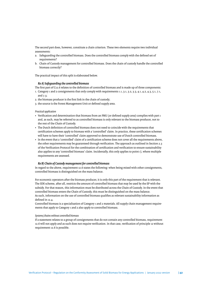The second part does, however, constitute a chain criterion. These two elements require two individual assessments:

- a. Safeguarding the controlled biomass. Does the controlled biomass comply with the defned set of requirements?
- b. Chain of Custody management for controlled biomass. Does the chain of custody handle the controlled biomass correctly?

The practical impact of this split is elaborated below.

## *Re A) Safeguarding the controlled biomass*

The frst part of C12.6 relates to the defnition of controlled biomass and is made up of three components:

- 1. Category 1 and 2 consignments that only comply with requirements 1.1, 3.1, 3.2, 3.3, 4.1, 4.2, 4.3, 5.1, 7.1, and 7.3;
- 2. the biomass producer is the frst link in the chain of custody;
- 3. the source is the Forest Management Unit or defned supply area.

*Practical application*

- Verifcation and determination that biomass from an FMU (or defned supply area) complies with part 1 and, as such, may be referred to as controlled biomass is only relevant to the biomass producer, not to the rest of the Chain of Custody.
- The Dutch defnition of controlled biomass does not need to coincide with the requirements that certifcation schemes apply to biomass with a 'controlled' claim. In practice, these certifcation schemes will have to have their 'controlled' claim approved to demonstrate use of Dutch controlled biomass.
- In the event that a 'controlled' claim of a certifcation scheme does not cover all the requirements above, the other requirements may be guaranteed through verifcation. The approach as outlined in Section 2.3 of the Verifcation Protocol for the combination of certifcation and verifcation to ensure sustainability also applies to any 'controlled biomass' claim. Incidentally, this only applies to point 1), where multiple requirements are assessed.

#### *Re B) Chain of Custody management for controlled biomass*

In regard to the above, requirement 12.6 states the following: when being mixed with other consignments, controlled biomass is distinguished on the mass balance.

For economic operators afer the biomass producer, it is only this part of the requirement that is relevant. The SDE scheme, after all, restricts the amount of controlled biomass that may be used by the EP with the subsidy. For that reason, this information must be distributed across the Chain of Custody. In the event that controlled biomass enters the Chain of Custody, this must be distinguished on the mass balance. As such, information on the use of controlled biomass qualifes as relevant sustainability information as defned in 12.4.

Controlled biomass is a specialisation of Category 1 and 2 materials. All supply chain management requirements that apply to Category 1 and 2 also apply to controlled biomass.

#### *Systems/chains without controlled biomass*

If a statement relates to a group of consignments that do not contain any controlled biomass, requirement 12.6 will not apply and as such does not require verifcation. In that case, verifcation of principle 12 without requirement 12.6 is possible.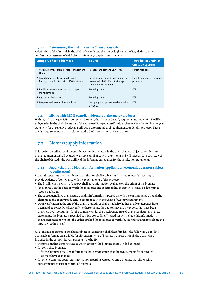# <span id="page-42-0"></span>**7.2.2 Determining the frst link in the Chain of Custody.**

A defnition of the frst link in the chain of custody and the source is given in the 'Regulation on the conformity assessment of solid biomass for energy applications', namely:

| <b>Category of solid biomass</b>                                           | <b>Source</b>                                                                                     | <b>First link in Chain of</b><br><b>Custody system</b> |
|----------------------------------------------------------------------------|---------------------------------------------------------------------------------------------------|--------------------------------------------------------|
| 1. Woody biomass from Forest Management<br>Units                           | Forest Management Unit (FMU)                                                                      | Forest manager                                         |
| 2. Woody biomass from small Forest<br>Management Units (FMU <500 hectares) | Forest Management Unit or sourcing<br>area of which the Forest Manage-<br>ment Unit forms a part. | Forest manager or biomass<br>producer                  |
| 3. Residues from nature and landscape<br>management                        | Sourcing area                                                                                     | <b>FCP</b>                                             |
| 4. Agricultural residues                                                   | Sourcing area                                                                                     | <b>FCP</b>                                             |
| 5. Biogenic residues and waste flows                                       | Company that generates the residual<br>product                                                    | <b>FCP</b>                                             |

# **7.2.3 Mixing with RED II compliant biomass at the energy producer**

With regard to the 30% RED II compliant biomass, the Chain of Custody requirements under RED II will be safeguarded in the chain by means of the approved European certifcation scheme. Only the conformity year statement for the energy producer is still subject to a number of requirements under this protocol. These are the requirements in 7.5 in relation to the GHG information and calculations.

# 7.3 Biomass supply information

This section describes requirements for economic operators in the chain that are subject to verifcation. These requirements shall be used to ensure compliance with the criteria and will safeguard, in each step of the Chain of Custody, the availability of the information required for the verifcation statements.

## **7.3.1 Supply chain and biomass information (applies to all economic operators subject to verifcation)**

Economic operators that are subject to verifcation shall establish and maintain records necessary to provide evidence of compliance with the requirements of this protocol.

- The frst link in the Chain of Custody shall have information available on the origin of the biomass
- (the source), on the basis of which the categories and sustainability characteristics may be determined (see also Table 2).
- The subsequent links shall ensure that this information is passed on with the consignments through the chain up to the energy producers, in accordance with the Chain of Custody requirements.
- Upon verifcation at the end of the chain, the auditor shall establish whether the fve categories have been applied correctly. When verifying these claims, the auditor may use the reports that have been drawn up by an accountant for the company under the Dutch Guarantee of Origin regulations. In these statements, the biomass is specifed by NTA 8003 coding. The auditor will include this information in their assessment of whether the EP has applied the categories correctly, but is not required to evaluate the NTA 8003 coding itself.

All economic operators in the chain subject to verifcation shall therefore have the following up-to-date applicable information available for all consignments of biomass that pass through the CoC and are included in the conformity year statement by the EP:

- information that demonstrates to which category the biomass being verifed belongs;
- for controlled biomass:
	- for the biomass producer, information that demonstrates that the requirements for controlled biomass have been met;
- for other economic operators, information regarding Category 1 and 2 biomass that shows which consignments consist of controlled biomass;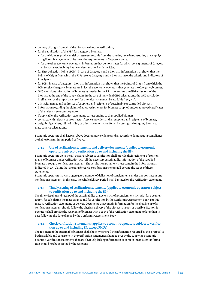- country of origin (source) of the biomass subject to verifcation;
- for the application of the RBA for Category 2 biomass:
- for the biomass producer, risk assessment records from the sourcing area demonstrating that supplying Forest Management Units meet the requirements in Chapters 4 and 5;
- for the other economic operators, information that demonstrates for which consignments of Category 2 biomass sustainability has been demonstrated with the RBA;
- for First Collection Points (FCPs), in case of Category 3 and 4 biomass, information that shows that the Points of Origin from which the FCPs receive Category 3 and 4 biomass meet the criteria and indicators of Principle 2;
- for FCPs, in case of Category 5 biomass, information that shows that the Points of Origin from which the FCPs receive Category 5 biomass are in fact the economic operators that generate the Category 5 biomass;
- GHG emissions information of biomass as needed by the EP to determine the GHG emissions of the biomass at the end of the supply chain. In the case of individual GHG calculations, the GHG calculation itself as well as the input data used for the calculation must be available (see 7.5.1);
- a list with names and addresses of suppliers and recipients of sustainable or controlled biomass;
- information regarding the claims of approved schemes for biomass supplied and/or approved certifcates of the relevant economic operator;
- if applicable, the verifcation statements corresponding to the supplied biomass;
- contracts with relevant subcontractors/service providers and all suppliers and recipients of biomass;
- weighbridge tickets, bills of lading or other documentation for all incoming and outgoing biomass; mass balance calculations.

Economic operators shall keep all above documentary evidence and all records to demonstrate compliance available for a minimum period of fve years.

# **7.3.2 Use of verifcation statements and delivery documents (applies to economic operators subject to verifcation up to and including the EP)**

Economic operators up to the EP that are subject to verifcation shall provide their recipients of consignments of biomass under verifcation with all the necessary sustainability information of the supplied biomass through a verifcation statement. The verifcation statement must contain the information as indicated in 2.5. Claims that are transferred via certifcation schemes fall beyond the scope of these statements.

Economic operators may also aggregate a number of deliveries of consignments under one contract in one verifcation statement. In this case, the whole delivery period shall be stated on the verifcation statement.

# **7.3.3 Timely issuing of verifcation statements (applies to economic operators subject to verifcation up to and including the EP)**

The timely issuing and receipt of the sustainability characteristics of a consignment is crucial for documentation, for calculating the mass balance and for verifcation by the Conformity Assessment Body. For this reason, verifcation statements or delivery documents that contain information for the drawing up of a verifcation statement should follow the physical delivery of the biomass as soon as possible. Economic operators shall provide the recipient of biomass with a copy of the verifcation statement no later than 15 days following the date of issue by the Conformity Assessment Body.

## **7.3.4 Check verifcation statements (applies to economic operators subject to verifcation up to and including EP, except FMUs)**

The recipient of the sustainable biomass shall check whether all the information required by this protocol is both available and consistent in the verifcation statement as handed over by the supplying economic operator. Verifcation statements that are obviously lacking information or contain inconsistent information should not be accepted by the recipient.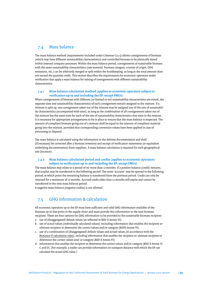# <span id="page-44-0"></span>7.4 Mass balance

The mass balance method (requirements included under Criterion C12.5) allows consignments of biomass (which may have diferent sustainability characteristics) and controlled biomass to be physically mixed within internal company processes. Within the mass balance period, consignments of sustainable biomass with the same sustainability characteristics (raw material, biomass category, country of origin, GHG emissions, etc.) can be arbitrarily merged or split within the bookkeeping, as long as the total amount does not exceed the quantity credit. This section describes the requirements for economic operators under verifcation that apply a mass balance for mixing of consignments with diferent sustainability characteristics.

# **7.4.1 Mass balance calculation method (applies to economic operators subject to verifcation up to and including the EP, except FMUs)**

When consignments of biomass with diferent (or limited or no) sustainability characteristics are mixed, the separate sizes and sustainability characteristics of each consignment remain assigned to the mixture. If a mixture is split up, any consignment taken out of the mixture may be assigned any of the sets of sustainability characteristics (accompanied with sizes), as long as the combination of all consignments taken out of the mixture has the same sizes for each of the sets of sustainability characteristics that were in the mixture. It is necessary for appropriate arrangements to be in place to ensure that the mass balance is respected. The amount of compliant biomass going out of a mixture shall be equal to the amount of compliant material going into the mixture, provided that corresponding conversion values have been applied in case of processing or disposal.

The mass balance is calculated using the information in the delivery documentation and shall (if necessary) be corrected afer a biomass inventory and receipt of verifcation statements (or equivalent underlying documentation) from suppliers. A mass balance calculation is required for each geographical site (location).

# **7.4.2 Mass balance calculation period and credits (applies to economic operators subject to verifcation up to and including the EP, except FMUs)**

The mass balance may relate to a period of no more than 12 months. If a positive balance (credit) remains, that surplus may be transferred to the following period. The same 'account' may be opened in the following period, at which point the remaining balance is transferred from the previous period. Credit can only be retained for a maximum of 12 months. Accrued credit older than 12 months will expire and cannot be transferred to the next mass balance period.

A negative mass balance (negative credits) is not allowed.

# 7.5 GHG information & calculation

All economic operators up to the EP must have sufficient and valid GHG information available of the biomass up to that point in the supply chain and must provide this information to the next biomass recipient. There are four options for GHG information to be provided to the sustainable biomass recipient:

- a. use of (disaggregated) default values (as refected in RED II Annex VI);
- b. use of actual values (individually calculated values), including information that enables the recipient or ultimate recipient to determine the correct values and/or category (REDII Annex VI);
- c. use of a combination of (disaggregated) default values and actual values (in accordance with the [BioGrace-II calculation rules](https://www.biograce.net/)), including information that enables the recipient or ultimate recipient to determine the correct values and/ or category (RED II Annex VI);
- d. information that enables the recipient to determine the correct values and/or category (RED II Annex VI C and D). (For example, a trader can provide information on transport distance with which the EP can calculate the actual GHG value.)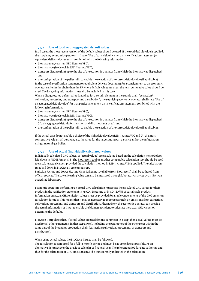## **7.5.1 Use of total or disaggregated default values**

In all cases, the most recent version of the default values should be used. If the total default value is applied, the supplying economic operator shall state 'Use of total default value' on its verifcation statement (or equivalent delivery documents), combined with the following information:

- biomass energy carrier (RED II Annex VI D);
- biomass type (feedstock in RED II Annex VI D);
- transport distance (km) up to the site of the economic operator from which the biomass was dispatched; and

• the confguration of the pellet mill, to enable the selection of the correct default value (if applicable). In the case of a verifcation statement (or equivalent delivery document) for a consignment to an economic operator earlier in the chain than the EP where default values are used, the term cumulative value should be used. The foregoing information must also be included in this case.

When a disaggregated default value is applied for a certain element in the supply chain (extraction) cultivation, processing and transport and distribution), the supplying economic operator shall state "Use of disaggregated default value" for that particular element on its verifcation statement, combined with the following information:

- biomass energy carrier (RED II Annex VI C);
- biomass type (feedstock in RED II Annex VI C);
- transport distance (km) up to the site of the economic operator from which the biomass was dispatched (if a disaggregated default for transport and distribution is used); and
- the confguration of the pellet mill, to enable the selection of the correct default value (if applicable).

If the actual data do not enable a choice of the right default value (RED II Annex VI C and D), the most conservative value shall be taken, e.g. the value for the largest transport distance and/or a confguration using a natural gas boiler.

#### **7.5.2 Use of actual (individually calculated) values**

Individually calculated GHG values, or 'actual values', are calculated based on the calculation methodology laid down in RED II Annex VI B. The [BioGrace-II tool](https://www.biograce.net/) or another comparable calculation tool should be used to calculate actual values, provided the calculation method in RED II Annex VI B is applied. The calculation rules laid down in BioGrace II are compulsory.

Emission Factors and Lower Heating Value (when not available from BioGrace-II) shall be gathered from official sources. The Lower Heating Value can also be measured through laboratory analyses by an ISO 17025 accredited laboratory.

Economic operators performing an actual GHG calculation must state the calculated GHG values for their product in the verification statement in kg CO<sub>2</sub>-EQ/tonne or in CO<sub>2</sub>-EQ/MJ of sustainable product. Information on actual GHG emission values must be provided for all relevant elements of the GHG emission calculation formula. This means that it may be necessary to report separately on emissions from extraction/ cultivation, processing, and transport and distribution. Alternatively, the economic operator can provide the actual information as input to enable the biomass recipient to calculate the actual GHG values or determine the defaults.

BioGrace-II stipulates that, if actual values are used for one parameter in a step, then actual values must be used for all other parameters in that step as well, including the parameters of the other steps within the same part of the bioenergy production chain (extraction/cultivation, processing, or transport and distribution).

When using actual values, the BioGrace-II rules shall be followed.

The calculation is conducted for a full 12-month period and must be as up to date as possible. As an alternative, it must cover the previous calendar or fnancial year. The relevant period for data gathering and thus for the calculation of GHG emissions must be transparently indicated in the calculation.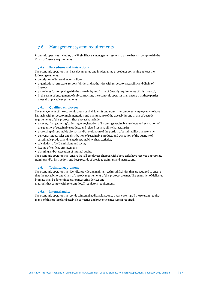# <span id="page-46-0"></span>7.6 Management system requirements

Economic operators including the EP shall have a management system to prove they can comply with the Chain of Custody requirements.

# **7.6.1 Procedures and instructions**

The economic operator shall have documented and implemented procedures containing at least the following elements:

- description of internal material flows;
- organisational structure, responsibilities and authorities with respect to traceability and Chain of Custody;
- procedures for complying with the traceability and Chain of Custody requirements of this protocol;
- in the event of engagement of sub-contractors, the economic operator shall ensure that these parties meet all applicable requirements.

# **7.6.2 Qualifed employees**

The management of the economic operator shall identify and nominate competent employees who have key tasks with respect to implementation and maintenance of the traceability and Chain of Custody requirements of this protocol. Those key tasks include:

- sourcing, frst gathering/collecting or registration of incoming sustainable products and evaluation of the quantity of sustainable products and related sustainability characteristics;
- processing of sustainable biomass and/or evaluation of the portion of sustainability characteristics;
- delivery, storage, sales and distribution of sustainable products and evaluation of the quantity of sustainable products and related sustainability characteristics;
- calculation of GHG emissions and saving;
- issuing of verifcation statements;
- planning and/or execution of internal audits.

The economic operator shall ensure that all employees charged with above tasks have received appropriate training and/or instruction, and keep records of provided trainings and instructions.

## **7.6.3 Technical equipment**

The economic operator shall identify, provide and maintain technical facilities that are required to ensure that the traceability and Chain of Custody requirements of this protocol are met. The quantities of delivered biomass shall be determined using measuring devices and

methods that comply with relevant (local) regulatory requirements.

# **7.6.4 Internal audits**

The economic operator shall conduct internal audits at least once a year covering all the relevant requirements of this protocol and establish corrective and preventive measures if required.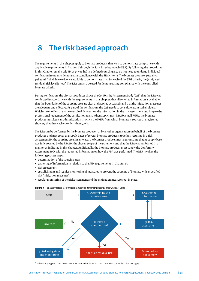# <span id="page-47-0"></span>**8 The risk based approach**

The requirements in this chapter apply to biomass producers that wish to demonstrate compliance with applicable requirements in Chapter 6 through the Risk Based Approach (RBA). By following the procedures in this Chapter, small-scale FMUs (< 500 ha) in a defned sourcing area do not need to undergo individual verifcation in order to demonstrate compliance with the SFM criteria. The biomass producer (usually a pellet mill) shall have evidence available to demonstrate that, for each of the SFM criteria, the (mitigated residual) risk level is 'low'. The RBA can also be used for demonstrating compliance with the controlled biomass criteria.

During verifcation, the biomass producer shows the Conformity Assessment Body (CAB) that the RBA was conducted in accordance with the requirements in this chapter, that all required information is available, that the boundaries of the sourcing area are clear and applied accurately and that the mitigation measures are adequate and efective. As part of the verifcation, the CAB needs to consult relevant stakeholders. Which stakeholders are to be consulted depends on the information in the risk assessment and is up to the professional judgement of the verifcation team. When applying an RBA for small FMUs, the biomass producer must keep an administration in which the FMUs from which biomass is sourced are registered, showing that they each cover less than 500 ha.

The RBA can be performed by the biomass producer, or by another organisation on behalf of the biomass producer, and may cover the supply bases of several biomass producers together, resulting in a risk assessment for the sourcing area. In any case, the biomass producer must demonstrate that its supply base was fully covered by the RBA for the chosen scope of the statement and that the RBA was performed in a manner as indicated in this chapter. Additionally, the biomass producer must supply the Conformity Assessment Body with the requested information on how the RBA was performed. The RBA involves the following process steps:

- determination of the sourcing area;
- gathering of information in relation to the SFM requirements in Chapter  $6<sup>6</sup>$ ;
- risk assessment;
- establishment and regular monitoring of measures to prevent the sourcing of biomass with a specifed risk (mitigation measures);
- regular monitoring of the risk assessment and the mitigation measures put in place.



#### **Figure 5** *Successive steps for biomass producers to demonstrate compliance with SFM using*

<sup>6</sup> When carrying out a risk assessment for controlled biomass, the criteria for controlled biomass apply.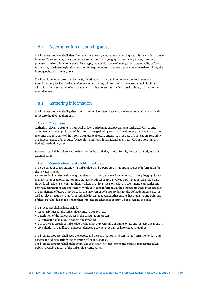# <span id="page-48-0"></span>8.1 Determination of sourcing areas

The biomass producer shall identify one or more homogeneous areas (sourcing areas) from which to source biomass. These sourcing areas can be determined both on a geographical scale (e.g. states, counties, provinces) and on a functional scale (forest type, ownership, scope of management, type/quality of forest). In any case, consistent legislation and the SFM requirements in Chapter 6 play a key role in determining the homogeneity of a sourcing area.

The boundaries of an area shall be clearly identifed on maps and in other relevant documentation. Boundaries may be described as a reference to the existing administrative or environmental divisions, whilst functional scale can refer to characteristics that determine the functional scale, e.g. plantations vs natural forests.

# 8.2 Gathering information

The biomass producer shall gather information on identifed areas that is relevant for a risk analysis with respect to the SFM requirements.

# **8.2.1 Documents**

Gathering relevant documentation, such as laws and regulations, government statistics, NGO reports, expert studies and maps, is part of the information gathering exercise. The biomass producer assesses the relevance and reliability of the information using objective criteria, such as date of publication, reliability and independence of the source (academic institutions, international agencies, NGOs and government bodies), methodology, etc.

Data sources shall be referenced so that they can be verifed by the Conformity Assessment Body and other external parties.

#### **8.2.2 Consultation of stakeholders and experts**

The outcomes of consultations with stakeholders and experts are an important source of information for the risk assessment.

A stakeholder is any individual or group that has an interest in any decision or activity (e.g. logging, forest management) of an organisation (the biomass producer or FMU involved). Examples of stakeholders are NGOs, local residents or communities, workers or unions, local or regional government, companies and company associations and contractors. While collecting information, the biomass producer must establish and implement efective procedures for the involvement of stakeholders for the defned sourcing area, as well as relevant requirements for sustainable forest management that ensure that the rights and opinions of these stakeholders in relation to their interests are taken into account when assessing the risks.

The procedures shall at least include:

- responsibilities for the stakeholder consultation process;
- description of the various stages in the consultation process;
- identifcation of the stakeholders to be involved;
- a proactive approach of stakeholders, who must be given sufficient time to respond (at least one month);
- consultation of qualifed and independent experts where specialised knowledge is required.

The biomass producer shall keep the reports and the contributions and comments from stakeholders and experts, including reactions and measures taken in response.

The biomass producer shall make the results of the RBA (risk assessment and mitigating measures taken) publicly available as part of the stakeholder consultation.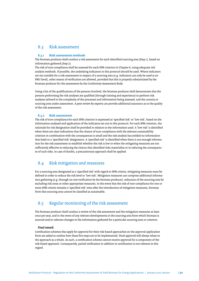# <span id="page-49-0"></span>8.3 Risk assessment

#### **8.3.1 Risk assessment methods**

The biomass producer shall conduct a risk assessment for each identifed sourcing area (Step 1), based on information gathered (Step 2).

The risk of non-compliance shall be assessed for each SFM criterion in Chapter 6, using adequate risk analysis methods. If possible, the underlying indicators in this protocol should be used. Where indicators are not suitable for a risk assessment in respect of a sourcing area (e.g. indicators can only be used at an FMU level), other means of verifcation are allowed, provided that this is properly substantiated by the biomass producer for the assessment by the Conformity Assessment Body.

Using a list of the qualifcations of the persons involved, the biomass producer shall demonstrate that the persons performing the risk analyses are qualifed (through training and experience) to perform risk analyses tailored to the complexity of the processes and information being assessed, and the country or sourcing area under assessment. A peer review by experts can provide additional assurance as to the quality of the risk assessment.

# **8.3.2 Risk assessment**

The risk of non-compliance for each SFM criterion is expressed as 'specifed risk' or 'low risk', based on the information analysed and application of the indicators set out in this protocol. For each SFM criterion, the rationale for risk designation shall be provided in relation to the information used. A 'low risk' is identifed when there are clear indications that the chance of non-compliance with the relevant sustainability criterion in combination with the consequences is small and the risk analysis has yielded no information that leads to a 'specifed risk' designation. A 'specifed risk' is identifed when there is not enough information for the risk assessment to establish whether the risk is low or when the mitigating measures are not sufficiently effective in reducing the chance that identified risks materialise or in reducing the consequences of such risks. In case of doubts, a precautionary approach shall be applied.

# 8.4 Risk mitigation and measures

For a sourcing area designated as a 'specifed risk' with regard to SFM criteria, mitigating measures must be defned in order to reduce the risk level to 'low risk'. Mitigation measures can comprise additional information gathering (e.g. through on-site verifcation by the biomass producer), reduction of the sourcing area by excluding risk areas or other appropriate measures. In the event that the risk of non-compliance for one or more SFM criteria remains a 'specifed risk' even afer the introduction of mitigation measures, biomass from that sourcing area cannot be classifed as sustainable.

# 8.5 Regular monitoring of the risk assessment

The biomass producer shall conduct a review of the risk assessment and the mitigation measures at least once per year, and in the event of any relevant developments in the sourcing area from which biomass is sourced and/or relevant changes in the information gathered for a particular sourcing area or criterion.

#### *Final remark*

Certifcation schemes that apply for approval for their risk-based approaches on the approval application form are asked to outline how these fve steps are to be implemented. Final approval will always relate to the approach as a whole. As such, a certifcation scheme cannot receive approval for a component of the risk-based approach. Consequently, partial verifcation in addition to certifcation is not relevant in this regard.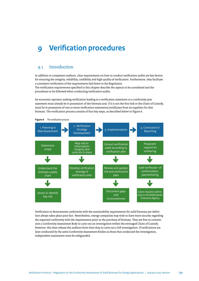# <span id="page-50-0"></span>**9 Verifcation procedures**

# 9.1 Introduction

In addition to competent auditors, clear requirements on how to conduct verifcation audits are key factors for ensuring the integrity, reliability, credibility and high quality of verifcation. Furthermore, they facilitate a consistent verifcation of the requirements laid down in the Regulation. The verifcation requirements specifed in this chapter describe the aspects to be considered and the procedures to be followed when conducting verifcation audits.

An economic operator seeking verifcation leading to a verifcation statement or a conformity year statement must already be in possession of the biomass and, if it is not the frst link in the Chain of Custody, must be in possession of one or more verifcation statements/certifcates from its suppliers for that biomass. The verifcation process consists of four key steps, as described below in Figure 6.



Verifcation to demonstrate conformity with the sustainability requirements for solid biomass per defnition always takes place post-fact. Nevertheless, energy companies may wish to have more security regarding the expected conformity with the requirements prior to the purchase of biomass. They are free to commission a Conformity Assessment Body to carry out an investigation within the envisaged Chain of Custody. However, this does release the auditors from their duty to carry out a full investigation. If verifcations are later conducted by the same Conformity Assessment Bodies as those that conducted the investigation, independent assessment must be safeguarded.

**Figure 6** *The verifcation process*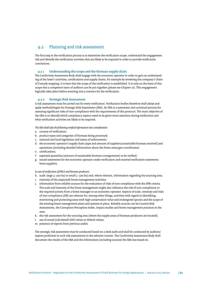# <span id="page-51-0"></span>9.2 Planning and risk assessment

The frst step in the verifcation process is to determine the verifcation scope, understand the engagement risk and identify the verifcation activities that are likely to be required in order to provide verifcation conclusions.

## **9.2.1 Understanding the scope and the biomass supply chain**

The Conformity Assessment Body shall engage with the economic operator in order to gain an understanding of the later's activities, certifcations and supply chains, for example by reviewing the company's Chain of Custody mapping. It is here that the scope of the verifcation is established. It is only on the basis of this scope that a competent team of auditors can be put together (please see Chapter 10). This engagement logically takes place before entering into a contract for the verifcation.

#### **9.2.2 Strategic Risk Assessment**

A risk assessment must be carried out for every verifcation. Verifcation bodies therefore shall adopt and apply methodologies for Strategic Risk Assessment (SRA). An SRA is a systematic and continual process for assessing signifcant risks of non-compliance with the requirements of this protocol. The main objective of the SRA is to identify which compliance aspects need to be given more atention during verifcation and what verifcation activities are likely to be required.

*The SRA shall take the following verifed information into consideration:*

- a. country of verifcation;
- b. product types and categories of biomass being processed;
- c. national and local legislation and status of enforcement;
- d. the economic operator's supply chain (type and amount of suppliers/sustainable biomass received) and operations (including detailed information about the forest areas/geo-coordinates);
- e. certifcations;
- f. expected quantities (amount of sustainable biomass consignments) to be verifed;
- g. issued statements for the economic operator under verifcation and received verifcation statements from suppliers.

#### *In case of verifcation of FMUs and biomass producers:*

- h. scale: large ( $\ge$  500 ha) or small (< 500 ha) and, where relevant, information regarding the sourcing area;
- i. intensity of the (expected) forest management activities;
- j. information from reliable sources for the evaluation of risks of non-compliance with the SFM criteria. The scale and intensity of the forest management might also infuence the risk of non-compliance or the required actions from a forest manager or an economic operator. Aspects of scale, intensity and risks of non-compliance (SIR) are relevant for, among other things, activities with regard to identifying, monitoring and protecting areas with high conservation value and endangered species and the scope of the existing forest management plans and systems in place. Reliable sources can be Country Risk Assessments, the Corruption Perception Index, impact studies and forest management practices in the area;
- k. the risk assessment for the sourcing area (where the supply areas of biomass producers are located);
- l. use of actual (calculated) GHG values or default values;
- m. presence of reports from previous audits.

The strategic risk assessment may be conducted based on a desk audit and shall be conducted by auditors/ experts profcient in such risk assessments in the relevant context. The Conformity Assessment Body shall document the results of the SRA and the information (including sources) the SRA was based on.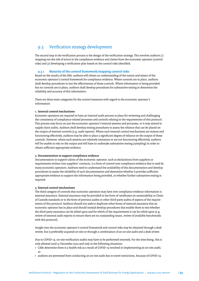# <span id="page-52-0"></span>9.3 Verifcation strategy development

The second step in the verifcation process is the design of the verifcation strategy. This involves auditors (1) mapping out the risk of errors in the compliance evidence and claims from the economic operator (control risks) and (2) developing a verifcation plan based on the control risks identifed.

# **9.3.1 Maturity of the control framework/mapping control risks**

Based on the results of the SRA, auditors will obtain an understanding of the nature and extent of the economic operator's control framework for compliance evidence. Where controls are in place, auditors shall develop procedures to test the efectiveness of these controls. Where information is being provided but no controls are in place, auditors shall develop procedures for substantive testing to determine the reliability and accuracy of this information.

There are three main categories for the control measures with regard to the economic operator's information:

#### **1. Internal control mechanisms**

Economic operators are required to have an internal audit process in place for reviewing and challenging the consistency of compliance-related processes and controls relating to the requirements of this protocol. This process may focus on just the economic operator's internal systems and processes, or it may extend to supply chain audits. Auditors shall develop testing procedures to assess the reliance that can be placed on the output of internal controls (e.g. audit reports). Where such internal control mechanisms are mature and functioning efectively, auditors may be able to place a signifcant degree of reliance on the output of these controls. However, where such systems are relatively immature or are not functioning efectively, auditors will be unable to rely on the output and will have to undertake substantive testing (sampling) in order to obtain sufficient appropriate evidence.

#### **2. Documentation to support compliance evidence**

Documentation to support claims of the economic operator, such as declarations from suppliers or requirements writen into suppliers' contracts, is a form of control over compliance evidence that is used by many economic operators. Auditors need to understand the availability of this documentation and develop procedures to assess the reliability of such documentation and determine whether it provides sufficient appropriate evidence to support the information being provided, or whether further substantive testing is required.

#### **3. External control mechanisms**

The third category of controls that economic operators may have over compliance evidence information is external assurance. External assurance may be provided in the form of certifcates on sustainability or Chain of Custody standards or in the form of previous audits or other third-party audits of aspects of the requirements of this protocol. Auditors should not seek to duplicate other forms of external assurance that an economic operator has in place and should instead develop procedures that enable them to test whether the third-party assurance can be relied upon and for which of the requirements it can be relied upon (e.g. review of external audit reports to ensure there are no outstanding issues, review of available benchmarks with this protocol).

Insight into the economic operator's control framework and control risks may be obtained through a desk review, but is preferably acquired on-site or through a combination of an on-site audit and a desk review.

Due to COVID-19, on-site verifcation audits may have to be performed remotely. For the time being, this is only allowed until 31 December 2022 and only in the following situations:

- CABs determine there is a health risk as a result of COVID-19 involved in implementing an on-site audit; or
- auditors are prevented from conducting an on-site audit due to travel restrictions, because of COVID-19.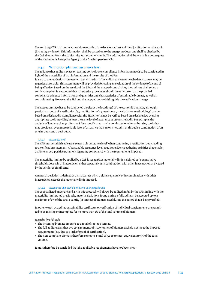The verifying CAB shall retain appropriate records of the decisions taken and their justifcation on this topic (including evidence). This information shall be passed on to the energy producer and shall be checked by the CAB that performs the conformity year statement audit. The information shall be available upon request of the Netherlands Enterprise Agency or the Dutch supervisor NEa.

## **9.3.2 Verifcation plan and assurance level**

The reliance that auditors place on existing controls over compliance information needs to be considered in light of the materiality of that information and the results of the SRA.

It is up to the professional assessment and discretion of an auditor to determine whether a control may be regarded as reliable. This assessment will be provided following an evaluation of the evidence of a control being efective. Based on the results of the SRA and the mapped control risks, the auditors shall set up a verifcation plan. It is expected that substantive procedures should be undertaken on the provided compliance evidence information and quantities and characteristics of sustainable biomass, as well as controls testing. However, the SRA and the mapped control risks guide the verifcation strategy.

The execution stage has to be conducted on-site at the location(s) of the economic operator, although particular aspects of a verifcation (e.g. verifcation of a greenhouse gas calculation methodology) can be based on a desk audit. Compliance with the SFM criteria may be verifed based on a desk review by using appropriate tools providing at least the same level of assurance as an on-site audit. For example, the analysis of land use change afer 2008 for a specifc area may be conducted on-site, or by using tools that may provide an even more reliable level of assurance than an on-site audit, or through a combination of an on-site audit and a desk audit.

#### *9.3.2.1 Assurance level*

The CAB must establish at least a 'reasonable assurance level' when conducting a verifcation audit leading to a verifcation statement. A 'reasonable assurance level' requires evidence gathering activities that enable a CAB to issue a positive statement regarding compliance with the requirements imposed.

The materiality limit to be applied by a CAB is set at 2%. A materiality limit is defned as 'a quantitative threshold above which inaccuracies, either separately or in combination with other inaccuracies, are viewed by the verifer as signifcant'.

A material deviation is defned as an inaccuracy which, either separately or in combination with other inaccuracies, exceeds the materiality limit imposed.

#### *9.3.2.2 Acceptance of material deviations during a full audit*

The aspects listed under 2.6 and 2.7 in this protocol will always be audited in full by the CAB. In line with the materiality limit stated previously, material deviations found during a full audit can be accepted up to a maximum of 2% of the total quantity (in tonnes) of biomass used during the period that is being verifed.

In other words, accredited sustainability certifcates or verifcation of individual consignments are permitted to be missing or incomplete for no more than 2% of the total volume of biomass.

#### *Example 1 for a full audit*

- The incoming biomass amounts to a total of 100,000 tonnes.
- The full audit reveals that two consignments of 1,500 tonnes of biomass each do not meet the imposed requirements (e.g. due to a lack of proof of certifcation).
- The non-compliant biomass therefore comes to a total of 3,000 tonnes, equivalent to 3% of the total volume.

It must therefore be concluded that the applicable requirements have not been met.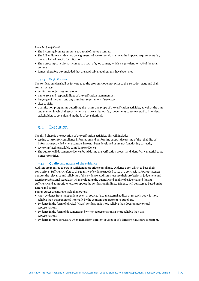#### <span id="page-54-0"></span>*Example 2 for a full audit*

- The incoming biomass amounts to a total of 100,000 tonnes.
- The full audit reveals that two consignments of 750 tonnes do not meet the imposed requirements (e.g. due to a lack of proof of certifcation).
- The non-compliant biomass comes to a total of 1,500 tonnes, which is equivalent to 1.5% of the total volume.
- It must therefore be concluded that the applicable requirements have been met.

#### *9.3.2.3 Verifcation plan*

The verifcation plan shall be forwarded to the economic operator prior to the execution stage and shall contain at least:

- verifcation objectives and scope;
- name, role and responsibilities of the verifcation team members;
- language of the audit and any translator requirement if necessary;
- sites to visit;
- a verifcation programme describing the nature and scope of the verifcation activities, as well as the time and manner in which these activities are to be carried out (e.g. documents to review, staff to interview, stakeholders to consult and methods of consultation).

# 9.4 Execution

The third phase is the execution of the verifcation activities. This will include:

- testing controls for compliance information and performing substantive testing of the reliability of information provided where controls have not been developed or are not functioning correctly;
- reviewing/testing available compliance evidence.
- The auditor will document evidence found during the verifcation process and identify any material gaps/ nonconformities.

# **9.4.1 Quality and nature of the evidence**

Auditors are required to obtain sufficient appropriate compliance evidence upon which to base their conclusions. Sufficiency refers to the quantity of evidence needed to reach a conclusion. Appropriateness denotes the relevance and reliability of this evidence. Auditors must use their professional judgement and exercise professional scepticism when evaluating the quantity and quality of evidence, and thus its sufficiency and appropriateness, to support the verification findings. Evidence will be assessed based on its nature and source.

Some sources are more reliable than others:

- Audit evidence from independent external sources (e.g. an external auditor or research body) is more reliable than that generated internally by the economic operator or its suppliers.
- Evidence in the form of physical (visual) verifcation is more reliable than documentary or oral representations.
- Evidence in the form of documents and writen representations is more reliable than oral representations.
- Evidence is more persuasive when items from diferent sources or of a diferent nature are consistent.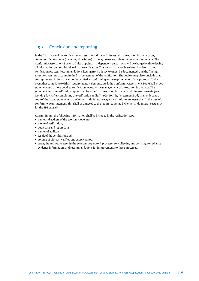# <span id="page-55-0"></span>9.5 Conclusion and reporting

In the fnal phase of the verifcation process, the auditor will discuss with the economic operator any corrections/adjustments (including time frame) that may be necessary in order to issue a statement. The Conformity Assessment Body shall also appoint an independent person who will be charged with reviewing all information and results related to the verifcation. This person may not have been involved in the verifcation process. Recommendations issuing from this review must be documented, and the fndings must be taken into account in the fnal assessment of the verifcation. The auditor may also conclude that consignments of biomass cannot be verifed as conforming to the requirements of this protocol. In the event that compliance with all requirements is demonstrated, the Conformity Assessment Body shall issue a statement and a more detailed verifcation report to the management of the economic operator. The statement and the verifcation report shall be issued to the economic operator within two (2) weeks (ten working days) afer completing the verifcation audit. The Conformity Assessment Body shall only send a copy of the issued statement to the Netherlands Enterprise Agency if the later requests this. In the case of a conformity year statement, this shall be annexed to the report requested by Netherlands Enterprise Agency for the SDE subsidy.

As a minimum, the following information shall be included in the verifcation report:

- name and address of the economic operator;
- scope of verifcation;
- audit date and report date;
- names of auditors;
- result of the verifcation audit;
- volume of biomass verifed and supply period;
- strengths and weaknesses in the economic operator's processes for collecting and collating compliance evidence information, and recommendations for improvements to these processes.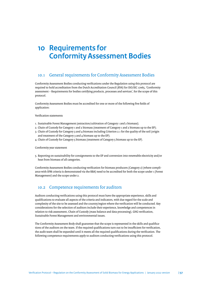# <span id="page-56-0"></span>**10 Requirements for Conformity Assessment Bodies**

# 10.1 General requirements for Conformity Assessment Bodies

Conformity Assessment Bodies conducting verifcations under the Regulation using this protocol are required to hold accreditation from the Dutch Accreditation Council (RVA) for ISO/IEC 17065, 'Conformity assessment – Requirements for bodies certifying products, processes and services', for the scope of this protocol.

Conformity Assessment Bodies must be accredited for one or more of the following fve felds of application:

Verifcation statements

- 1. Sustainable Forest Management (extraction/cultivation of Category 1 and 2 biomass);
- 2. Chain of Custody for Category 1 and 2 biomass (treatment of Category 1 and 2 biomass up to the EP);
- 3. Chain of Custody for Category 3 and 4 biomass including Criterion 2.1 for the quality of the soil (origin and treatment of the Category 3 and 4 biomass up to the EP);
- 4. Chain of Custody for Category 5 biomass (treatment of Category 5 biomass up to the EP).

Conformity year statement

5. Reporting on sustainability for consignments to the EP and conversion into renewable electricity and/or heat from biomass of all categories.

Conformity Assessment Bodies conducting verifcation for biomass producers (Category 2) (where compliance with SFM criteria is demonstrated via the RBA) need to be accredited for both the scope under 1 (Forest Management) and the scope under 2.

# 10.2 Competence requirements for auditors

Auditors conducting verifcations using this protocol must have the appropriate experience, skills and qualifcations to evaluate all aspects of the criteria and indicators, with due regard for the scale and complexity of the site to be assessed and the country/region where the verifcation will be conducted. Key considerations for the selection of auditors include their experience, knowledge and competences in relation to risk assessment, Chain of Custody (mass balance and data processing), GHG verifcation, Sustainable Forest Management and environmental issues.

The Conformity Assessment Body shall guarantee that the scope is represented in the skills and qualifcations of the auditors on the team. If the required qualifications turn out to be insufficient for verification, the audit team shall be expanded until it meets all the required qualifcations during the verifcation. The following competence requirements apply to auditors conducting verifcations using this protocol.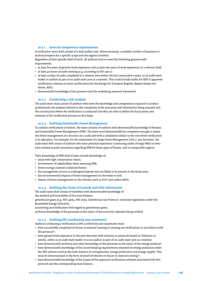## **10.2.1 General competence requirements**

A verifcation team shall consist of a lead auditor and, where necessary, a suitable number of assessors or technical experts for a specifc scope and the regions involved.

Regardless of their specifc feld of work, all auditors have to meet the following general audit requirements:

- at least fve years of general work experience and at least two years of work experience in a relevant feld;
- at least 40 hours of audit training (e.g. according to ISO 19011);
- at least 20 days of audit completed in a relevant area within the last consecutive 2 years, as an audit team leader or auditor as part of an audit team (not as a trainee). This could include audits for RED II approved certifcation schemes or entry certifcations for the Energy for Transport Register (*Register Energie voor Vervoer*, REV);
- demonstrable knowledge of this protocol and the underlying statutory framework.

#### **10.2.2 Conducting a risk analysis**

The audit team must consist of auditors who have the knowledge and competences required to conduct professional risk analyses tailored to the complexity of the processes and information being assessed and the country/area where the verifcation is conducted and who are able to defne the focal points and intensity of the verifcation process on that basis.

#### **10.2.3 Auditing Sustainable Forest Management**

To conduct verifcations in forests, the team consists of auditors with demonstrable knowledge of forestry and Sustainable Forest Management (SFM). The team must demonstrably be competent enough to assess the forest management of a location on a scale and with a complexity similar to the one where verifcation is to take place. For example, for the assessment of a large Forest Management Unit ( $\geq$  500 hectares), the audit team will consist of auditors who have personal experience conducting audits of large FMUs or who have worked as paid consultants regarding SFM for these types of forests, and in comparable regions.

Their knowledge of SFM shall at least include knowledge of:

- areas with high conservation values;
- involvement of stakeholders when assessing SFM;
- forest ecology (natural or planted forest);
- the management of rare or endangered species that are likely to be present in the forest area;
- key environmental impacts of forest management on the water or soil;
- impact of forest management on the climate (such as ILUC and carbon debt).

#### **10.2.4 Auditing the Chain of Custody and GHG information**

The audit team shall consist of members with demonstrable knowledge of: the method and traceability of the mass balance;

greenhouse gases (e.g. ISO 14064, PAS 2050, Greenhouse Gas Protocol, voluntary regulations under the Renewable Energy Directive);

accounting and verifcation with regard to greenhouse gases;

technical knowledge of the processes at the site(s) of the economic operator being verifed.

## **10.2.5 Auditing EPs (conformity year statement)**

Auditors conducting a verifcation at EPs (conformity year statement) must:

- have successfully completed in-house or external training in carrying out verifcations in accordance with this protocol\*;
- have gained work experience in the past two years with schemes or protocols based on ISAE3000 or similar, either as an audit team leader or as an auditor as part of an audit team (not as a trainee);
- have demonstrable technical and other knowledge of the processes at the site(s) of the energy producer;
- have demonstrable knowledge of the record-keeping requirements imposed on energy producers under the SDE scheme (such as the mass balance of consignments, energy production and energy supply). This must be demonstrated in the form of proof of relevant in-house or external training\*;
- have demonstrable knowledge of the scopes of the approved certifcation schemes associated with this protocol and the corresponding mass balance.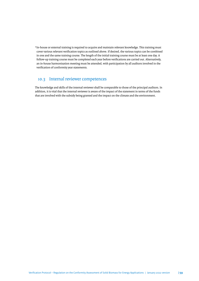<span id="page-58-0"></span>\*In-house or external training is required to acquire and maintain relevant knowledge. This training must cover various relevant verifcation topics as outlined above. If desired, the various topics can be combined in one and the same training course. The length of the initial training course must be at least one day. A follow-up training course must be completed each year before verifcations are carried out. Alternatively, an in-house harmonisation meeting must be attended, with participation by all auditors involved in the verifcation of conformity year statements.

# 10.3 Internal reviewer competences

The knowledge and skills of the internal reviewer shall be comparable to those of the principal auditors. In addition, it is vital that the internal reviewer is aware of the impact of the statement in terms of the funds that are involved with the subsidy being granted and the impact on the climate and the environment.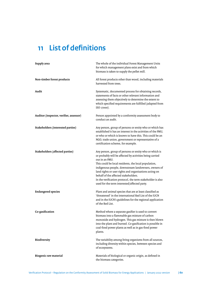# <span id="page-59-0"></span>**11 List of defnitions**

| Supply area                             | The whole of the individual Forest Management Units<br>for which management plans exist and from which<br>biomass is taken to supply the pellet mill.                                                                                                                                                                                                                                                                                                               |
|-----------------------------------------|---------------------------------------------------------------------------------------------------------------------------------------------------------------------------------------------------------------------------------------------------------------------------------------------------------------------------------------------------------------------------------------------------------------------------------------------------------------------|
| Non-timber forest products              | All forest products other than wood, including materials<br>harvested from trees.                                                                                                                                                                                                                                                                                                                                                                                   |
| Audit                                   | Systematic, documented process for obtaining records,<br>statements of facts or other relevant information and<br>assessing them objectively to determine the extent to<br>which specified requirements are fulfilled (adapted from<br>ISO 17000).                                                                                                                                                                                                                  |
| Auditor (inspector, verifier, assessor) | Person appointed by a conformity assessment body to<br>conduct an audit.                                                                                                                                                                                                                                                                                                                                                                                            |
| Stakeholders (interested parties)       | Any person, group of persons or entity who or which has<br>established it has an interest in the activities of the FMU,<br>or who or which is known to have this. This could be an<br>NGO, trade union, government or representative of a<br>certification scheme, for example.                                                                                                                                                                                     |
| <b>Stakeholders (affected parties)</b>  | Any person, group of persons or entity who or which is<br>or probably will be affected by activities being carried<br>out in an FMU.<br>This could be local residents, the local population,<br>indigenous people, downstream landowners, owners of<br>land rights or user rights and organisations acting on<br>behalf of the affected stakeholders.<br>In the verification protocol, the term stakeholder is also<br>used for the term interested/affected party. |
| <b>Endangered species</b>               | Plant and animal species that are at least classified as<br>'threatened' in the international Red List of the IUCN<br>and in the IUCN's guidelines for the regional application<br>of the Red List.                                                                                                                                                                                                                                                                 |
| Co-gasification                         | Method where a separate gasifier is used to convert<br>biomass into a flammable gas mixture of carbon<br>monoxide and hydrogen. This gas mixture is then blown<br>into the plant and burned. Co-gasification is possible in<br>coal-fired power plants as well as in gas-fired power<br>plants.                                                                                                                                                                     |
| Biodiversity                            | The variability among living organisms from all sources,<br>including diversity within species, between species and<br>of ecosystems.                                                                                                                                                                                                                                                                                                                               |
| <b>Biogenic raw material</b>            | Materials of biological or organic origin, as defined in<br>the biomass categories.                                                                                                                                                                                                                                                                                                                                                                                 |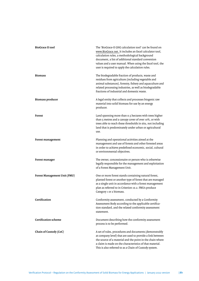| <b>BioGrace II tool</b>      | The 'BioGrace-II GHG calculation tool' can be found on<br>www.BioGrace.net. It includes an Excel calculator tool,<br>calculation rules, a methodological background<br>document, a list of additional standard conversion<br>values and a user manual. When using the Excel tool, the<br>user is required to apply the calculation rules. |
|------------------------------|-------------------------------------------------------------------------------------------------------------------------------------------------------------------------------------------------------------------------------------------------------------------------------------------------------------------------------------------|
| <b>Biomass</b>               | The biodegradable fraction of products, waste and<br>residues from agriculture (including vegetable and<br>animal substances), forestry, fishery and aquaculture and<br>related processing industries, as well as biodegradable<br>fractions of industrial and domestic waste.                                                            |
| <b>Biomass producer</b>      | A legal entity that collects and processes biogenic raw<br>material into solid biomass for use by an energy<br>producer.                                                                                                                                                                                                                  |
| <b>Forest</b>                | Land spanning more than 0.5 hectares with trees higher<br>than 5 metres and a canopy cover of over 10%, or with<br>trees able to reach these thresholds in situ, not including<br>land that is predominately under urban or agricultural<br>use.                                                                                          |
| Forest management            | Planning and operational activities aimed at the<br>management and use of forests and other forested areas<br>in order to achieve predefined economic, social, cultural<br>or environmental objectives.                                                                                                                                   |
| Forest manager               | The owner, concessionaire or person who is otherwise<br>legally responsible for the management and exploitation<br>of a Forest Management Unit.                                                                                                                                                                                           |
| Forest Management Unit (FMU) | One or more forest stands containing natural forest,<br>planted forest or another type of forest that are managed<br>as a single unit in accordance with a forest management<br>plan as referred to in Criterion 10.2. FMUs produce<br>Category 1 or 2 biomass.                                                                           |
| Certification                | Conformity assessment, conducted by a Conformity<br>Assessment Body according to the applicable certifica-<br>tion standard, and the related conformity assessment<br>statement.                                                                                                                                                          |
| <b>Certification scheme</b>  | Document describing how the conformity assessment<br>process is to be performed.                                                                                                                                                                                                                                                          |
| Chain of Custody (CoC)       | A set of rules, procedures and documents (demonstrably<br>at company level) that are used to provide a link between<br>the source of a material and the point in the chain where<br>a claim is made on the characteristics of that material.<br>This is also referred to as a Chain of Custody system.                                    |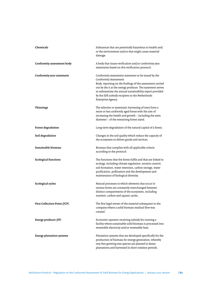| Chemicals                           | Substances that are potentially hazardous to health and/<br>or the environment and/or that might cause material<br>damage.                                                                                                                                                                                                                    |
|-------------------------------------|-----------------------------------------------------------------------------------------------------------------------------------------------------------------------------------------------------------------------------------------------------------------------------------------------------------------------------------------------|
| Conformity assessment body          | A body that issues verification and/or conformity year<br>statements based on this verification protocol.                                                                                                                                                                                                                                     |
| Conformity year statement           | Conformity assessment statement to be issued by the<br>Conformity Assessment<br>Body, reporting on the findings of the assessment carried<br>out by the it at the energy producer. The statement serves<br>to substantiate the annual sustainability report provided<br>by the SDE subsidy recipient to the Netherlands<br>Enterprise Agency. |
| <b>Thinnings</b>                    | The selective or systematic harvesting of trees from a<br>more or less uniformly aged forest with the aim of<br>increasing the health and growth - including the stem<br>diameter - of the remaining forest stand.                                                                                                                            |
| Forest degradation                  | Long-term degradation of the natural capital of a forest.                                                                                                                                                                                                                                                                                     |
| Soil degradation                    | Changes in the soil quality which reduce the capacity of<br>the ecosystem to deliver goods and services.                                                                                                                                                                                                                                      |
| Sustainable biomass                 | Biomass that complies with all applicable criteria<br>according to the protocol.                                                                                                                                                                                                                                                              |
| <b>Ecological functions</b>         | The functions that the forest fulfils and that are linked to<br>ecology, including climate regulation, erosion control,<br>soil formation, water retention, carbon storage, water<br>purification, pollination and the development and<br>maintenance of biological diversity.                                                                |
| <b>Ecological cycles</b>            | Natural processes in which elements that occur in<br>various forms are constantly interchanged between<br>distinct compartments of the ecosystem, including<br>nutrient, carbon and aquatic cycles.                                                                                                                                           |
| <b>First Collection Point (FCP)</b> | The first legal owner of the material subsequent to the<br>company where a solid biomass residual flow was<br>created.                                                                                                                                                                                                                        |
| Energy producer (EP)                | Economic operator receiving subsidy for running a<br>facility where sustainable solid biomass is processed into<br>renewable electricity and/or renewable heat.                                                                                                                                                                               |
| <b>Energy plantation systems</b>    | Plantation systems that are developed specifically for the<br>production of biomass for energy generation, whereby<br>very fast-growing tree species are planted in dense<br>plantations and harvested in short rotation periods.                                                                                                             |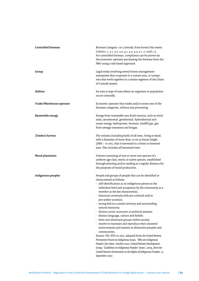| <b>Controlled biomass</b> | Biomass Category 1 or 2 (woody, from forest) that meets<br>Criteria 1.1, 3.1, 3.2, 3.3, 4.1, 4.2, 4.3, 5.1, 7.1 and 7.3.<br>For controlled biomass, compliance can be proven by<br>the economic operator purchasing the biomass from the<br>FMU using a risk-based approach.                                                                                                                                                                                                                                                                                                                                                                                                                                                                                                                                                                                                                                                                                                                                                            |
|---------------------------|-----------------------------------------------------------------------------------------------------------------------------------------------------------------------------------------------------------------------------------------------------------------------------------------------------------------------------------------------------------------------------------------------------------------------------------------------------------------------------------------------------------------------------------------------------------------------------------------------------------------------------------------------------------------------------------------------------------------------------------------------------------------------------------------------------------------------------------------------------------------------------------------------------------------------------------------------------------------------------------------------------------------------------------------|
| Group                     | Legal entity involving several forest management<br>enterprises that cooperate in a certain area, or compa-<br>nies that work together in a certain segment of the Chain<br>of Custody system.                                                                                                                                                                                                                                                                                                                                                                                                                                                                                                                                                                                                                                                                                                                                                                                                                                          |
| Habitat                   | An area or type of area where an organism or population<br>occurs naturally.                                                                                                                                                                                                                                                                                                                                                                                                                                                                                                                                                                                                                                                                                                                                                                                                                                                                                                                                                            |
| Trader/Warehouse operator | Economic operator that trades and/or stores one of the<br>biomass categories, without any processing.                                                                                                                                                                                                                                                                                                                                                                                                                                                                                                                                                                                                                                                                                                                                                                                                                                                                                                                                   |
| Renewable energy          | Energy from renewable non-fossil sources, such as wind,<br>solar, aerothermal, geothermal, hydrothermal and<br>ocean energy, hydropower, biomass, landfill gas, gas<br>from sewage treatment and biogas.                                                                                                                                                                                                                                                                                                                                                                                                                                                                                                                                                                                                                                                                                                                                                                                                                                |
| (Timber) harvest          | The volume (including bark) of all trees, living or dead,<br>with a diameter of more than 10 cm at breast height<br>(DBH > 10 cm), that is harvested in a forest or forested<br>area. This includes all harvested trees.                                                                                                                                                                                                                                                                                                                                                                                                                                                                                                                                                                                                                                                                                                                                                                                                                |
| Wood plantation           | A forest consisting of one or more tree species of a<br>uniform age class, exotic or native species, established<br>through planting and/or seeding at a regular distance for<br>the purposes of wood production.                                                                                                                                                                                                                                                                                                                                                                                                                                                                                                                                                                                                                                                                                                                                                                                                                       |
| Indigenous peoples        | People and groups of people that can be identified or<br>characterised as follows:<br>- self-identification as an indigenous person at the<br>individual level and acceptance by the community as a<br>member as the key characteristic;<br>historical continuity with pre-colonial and/or<br>pre-settler societies;<br>- strong link to a certain territory and surrounding<br>natural resources:<br>- distinct social, economic or political systems;<br>- distinct language, culture and beliefs;<br>- form non-dominant groups within society;<br>- resolve to maintain and reproduce their ancestral<br>environments and systems as distinctive peoples and<br>communities.<br>Source: FSC-STD-01-002, adapted from the United Nations<br>Permanent Forum on Indigenous Issues, 'Who are Indigenous<br>Peoples' fact sheet, October 2007; United Nations Development<br>Group, 'Guidelines on Indigenous Peoples' Issues', 2009, from the<br>United Nations Declaration on the Rights of Indigenous Peoples, 13<br>September 2007. |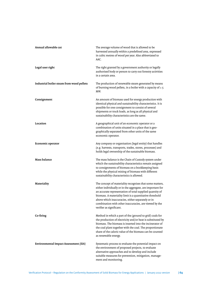| Annual allowable cut                         | The average volume of wood that is allowed to be<br>harvested annually within a predefined area, expressed<br>in cubic metres of wood per year. Also abbreviated to<br>AAC.                                                                                                                                                                                                               |
|----------------------------------------------|-------------------------------------------------------------------------------------------------------------------------------------------------------------------------------------------------------------------------------------------------------------------------------------------------------------------------------------------------------------------------------------------|
| Legal user right                             | The right granted by a government authority or legally<br>authorised body or person to carry out forestry activities<br>in a certain area.                                                                                                                                                                                                                                                |
| Industrial boiler steam from wood pellets    | The production of renewable steam generated by means<br>of burning wood pellets, in a boiler with a capacity of $\geq 5$<br>MW.                                                                                                                                                                                                                                                           |
| Consignment                                  | An amount of biomass used for energy production with<br>identical physical and sustainability characteristics. It is<br>possible for one consignment to consist of several<br>shipments or truck loads, as long as all physical and<br>sustainability characteristics are the same.                                                                                                       |
| Location                                     | A geographical unit of an economic operator or a<br>combination of units situated in a place that is geo-<br>graphically separated from other units of the same<br>economic operator.                                                                                                                                                                                                     |
| Economic operator                            | Any company or organisation (legal entity) that handles<br>(e.g. harvests, transports, trades, stores, processes) and<br>holds legal ownership of the sustainable biomass.                                                                                                                                                                                                                |
| <b>Mass balance</b>                          | The mass balance is the Chain of Custody system under<br>which the sustainability characteristics remain assigned<br>to consignments of biomass on a bookkeeping basis<br>while the physical mixing of biomass with different<br>sustainability characteristics is allowed.                                                                                                               |
| Materiality                                  | The concept of materiality recognises that some matters,<br>either individually or in the aggregate, are important for<br>an accurate representation of total supplied quantity of<br>biomass. A materiality limit is a quantitative threshold<br>above which inaccuracies, either separately or in<br>combination with other inaccuracies, are viewed by the<br>verifier as significant. |
| Co-firing                                    | Method in which a part of the (ground to grid) coals for<br>the production of electricity and/or heat is substituted by<br>biomass. The biomass is inserted into the incinerator of<br>the coal plant together with the coal. The proportionate<br>share of the caloric value of the biomass can be counted<br>as renewable energy.                                                       |
| <b>Environmental Impact Assessment (EIA)</b> | Systematic process to evaluate the potential impact on<br>the environment of proposed projects, to evaluate<br>alternative approaches and to develop and include<br>suitable measures for prevention, mitigation, manage-<br>ment and monitoring.                                                                                                                                         |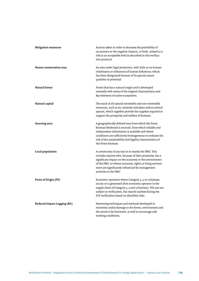| <b>Mitigation measures</b>          | Actions taken in order to decrease the probability of<br>occurrence or the negative impacts, or both, related to a<br>risk to an acceptable level as described in this verifica-<br>tion protocol.                                                                                                             |
|-------------------------------------|----------------------------------------------------------------------------------------------------------------------------------------------------------------------------------------------------------------------------------------------------------------------------------------------------------------|
| Nature conservation area            | An area under legal protection, with little to no human<br>inhabitants or influences of human behaviour, which<br>has been designated because of its special nature<br>qualities or potential.                                                                                                                 |
| <b>Natural forest</b>               | Forest that has a natural origin and is developed<br>naturally with many of the original characteristics and<br>key elements of native ecosystems.                                                                                                                                                             |
| Natural capital                     | The stock of all natural renewable and non-renewable<br>resources, such as air, minerals and plant and/or animal<br>species, which together provide the supplies required to<br>support the prosperity and welfare of humans.                                                                                  |
| Sourcing area                       | A geographically defined area from which the forest<br>biomass feedstock is sourced, from which reliable and<br>independent information is available and where<br>conditions are sufficiently homogeneous to evaluate the<br>risk of the sustainability and legality characteristics of<br>the forest biomass. |
| Local population                    | A community of any size in or nearby the FMU. This<br>includes anyone who, because of their proximity, has a<br>significant impact on the economy or the environment<br>of the FMU, or whose economy, rights or living environ-<br>ment are significantly influenced by management<br>activities in the FMU.   |
| Point of Origin (PO)                | Economic operators where Category 3, 4 or 5 biomass<br>occurs or is generated (first economic operator in the<br>supply chain of Category 3, 4 and 5 biomass). POs are not<br>subject to verification, but may be audited during the<br>FCP verification based on identified risks.                            |
| <b>Reduced Impact Logging (RIL)</b> | Harvesting techniques and methods developed to<br>minimise undue damage to the forest, environment and<br>the wood to be harvested, as well as encourage safe<br>working conditions.                                                                                                                           |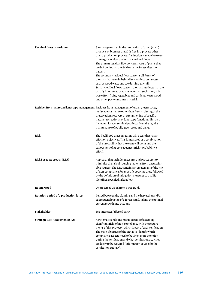| <b>Residual flows or residues</b>      | Biomass generated in the production of other (main)<br>products or biomass that falls free in a process other<br>than a production process. Distinction is made between<br>primary, secondary and tertiary residual flows.<br>The primary residual flow concerns parts of plants that<br>are left behind on the field or in the forest after the<br>harvest.<br>The secondary residual flow concerns all forms of<br>biomass that remain behind in a production process,<br>such as wood waste and sawdust in a sawmill.<br>Tertiary residual flows concern biomass products that are<br>usually interpreted as waste materials, such as organic<br>waste from fruits, vegetables and gardens, waste wood<br>and other post-consumer material. |
|----------------------------------------|------------------------------------------------------------------------------------------------------------------------------------------------------------------------------------------------------------------------------------------------------------------------------------------------------------------------------------------------------------------------------------------------------------------------------------------------------------------------------------------------------------------------------------------------------------------------------------------------------------------------------------------------------------------------------------------------------------------------------------------------|
|                                        | Residues from nature and landscape management Residues from management of urban green spaces,<br>landscapes or nature other than forests, aiming at the<br>preservation, recovery or strengthening of specific<br>natural, recreational or landscape functions. This also<br>includes biomass residual products from the regular<br>maintenance of public green areas and parks.                                                                                                                                                                                                                                                                                                                                                               |
| Risk                                   | The likelihood that something will occur that has an<br>effect on objectives. This is measured as a combination<br>of the probability that the event will occur and the<br>seriousness of its consequences (risk = probability x<br>effect).                                                                                                                                                                                                                                                                                                                                                                                                                                                                                                   |
| <b>Risk Based Approach (RBA)</b>       | Approach that includes measures and procedures to<br>minimise the risk of sourcing material from unsustain-<br>able sources. The RBA contains an assessment of the risk<br>of non-compliance for a specific sourcing area, followed<br>by the definition of mitigation measures to qualify<br>identified specified risks as low.                                                                                                                                                                                                                                                                                                                                                                                                               |
| Round wood                             | Unprocessed wood from a tree trunk.                                                                                                                                                                                                                                                                                                                                                                                                                                                                                                                                                                                                                                                                                                            |
| Rotation period of a production forest | Period between the planting and the harvesting and/or<br>subsequent logging of a forest stand, taking the optimal<br>current growth into account.                                                                                                                                                                                                                                                                                                                                                                                                                                                                                                                                                                                              |
| Stakeholder                            | See interested/affected party.                                                                                                                                                                                                                                                                                                                                                                                                                                                                                                                                                                                                                                                                                                                 |
| <b>Strategic Risk Assessment (SRA)</b> | A systematic and continuous process of assessing<br>significant risks of non-compliance with the require-<br>ments of this protocol, which is part of each verification.<br>The main objective of the SRA is to identify which<br>compliance aspects need to be given more attention<br>during the verification and what verification activities<br>are likely to be required (information source for the<br>verification strategy).                                                                                                                                                                                                                                                                                                           |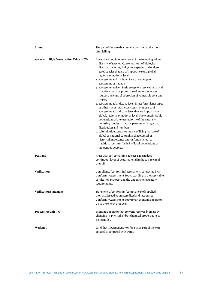| Stump                                    | The part of the tree that remains attached to the roots<br>after felling.                                                                                                                                                                                                                                                                                                                                                                                                                                                                                                                                                                                                                                                                                                                                                                                                                                                                                                                                                                                                                                                                                 |
|------------------------------------------|-----------------------------------------------------------------------------------------------------------------------------------------------------------------------------------------------------------------------------------------------------------------------------------------------------------------------------------------------------------------------------------------------------------------------------------------------------------------------------------------------------------------------------------------------------------------------------------------------------------------------------------------------------------------------------------------------------------------------------------------------------------------------------------------------------------------------------------------------------------------------------------------------------------------------------------------------------------------------------------------------------------------------------------------------------------------------------------------------------------------------------------------------------------|
| Areas with High Conservation Value (HCV) | Areas that contain one or more of the following values:<br>1. diversity of species. Concentrations of biological<br>diversity, including indigenous species and endan-<br>gered species that are of importance on a global,<br>regional or national level;<br>2. ecosystems and habitats. Rare or endangered<br>ecosystems or habitats;<br>3. ecosystem services. Basic ecosystem services in critical<br>situations, such as protection of important water<br>sources and control of erosion of vulnerable soils and<br>slopes;<br>4. ecosystems at landscape level. Intact forest landscapes<br>or other major intact ecosystems, or mosaics of<br>ecosystems at landscape level that are important at<br>global, regional or national level. They contain viable<br>populations of the vast majority of the naturally<br>occurring species in natural patterns with regard to<br>distribution and numbers;<br>5. cultural values. Areas or means of living that are of<br>global or national cultural, archaeological or<br>historical importance and/or fundamental to<br>traditional cultures/beliefs of local populations or<br>indigenous peoples. |
| Peatland                                 | Areas with soil containing at least a 40 cm deep<br>continuous layer of peaty material in the top 80 cm of<br>the soil.                                                                                                                                                                                                                                                                                                                                                                                                                                                                                                                                                                                                                                                                                                                                                                                                                                                                                                                                                                                                                                   |
| Verification                             | Compliance (conformity) assessment, conducted by a<br>Conformity Assessment Body according to the applicable<br>verification protocol and the underlying regulatory<br>requirements.                                                                                                                                                                                                                                                                                                                                                                                                                                                                                                                                                                                                                                                                                                                                                                                                                                                                                                                                                                      |
| Verification statement                   | Statement of conformity (compliance) of supplied<br>biomass, issued by an accredited and recognised<br>Conformity Assessment Body for an economic operator<br>up to the energy producer.                                                                                                                                                                                                                                                                                                                                                                                                                                                                                                                                                                                                                                                                                                                                                                                                                                                                                                                                                                  |
| Processing Unit (PU)                     | Economic operator that converts received biomass by<br>changing its physical and/or chemical properties (e.g.<br>pellet mills).                                                                                                                                                                                                                                                                                                                                                                                                                                                                                                                                                                                                                                                                                                                                                                                                                                                                                                                                                                                                                           |
| Wetlands                                 | Land that is permanently or for a large part of the year<br>covered or saturated with water.                                                                                                                                                                                                                                                                                                                                                                                                                                                                                                                                                                                                                                                                                                                                                                                                                                                                                                                                                                                                                                                              |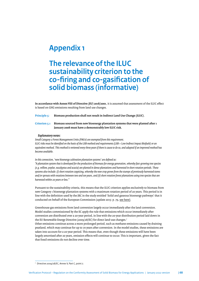# <span id="page-67-0"></span>**Appendix 1**

# **The relevance of the ILUC sustainability criterion to the co-fring and co-gasifcation of solid biomass (informative)**

**In accordance with Annex VIII of Directive (EU) 2018/2001**, it is assumed that assessment of the ILUC efect is based on GHG emissions resulting from land use changes.

**Principle 5: Biomass production shall not result in Indirect Land Use Change (ILUC).**

## **Criterion 5.1 Biomass sourced from new bioenergy plantation systems that were planted afer 1 January 2008 must have a demonstrably low ILUC risk.**

#### *Explanatory notes:*

*Small Category 2 Forest Management Units (FMUs) are exempted from this requirement. ILUC risks must be identifed on the basis of the LIIB method and requirements (LIIB = Low Indirect Impact Biofuels) or an equivalent method. This method is reviewed every three years if there is cause to do so, and adapted if an improved method has become available.*

*In this connection, 'new bioenergy cultivation plantation systems' are defned as:*

*"A plantation system that is developed for the production of biomass for energy generation, whereby fast-growing tree species (e.g. willow, poplar, eucalyptus and acacia) are planted in dense plantations and harvested in short rotation periods. These systems also include: (i) short rotation coppicing, whereby the new crop grows from the stumps of previously harvested stems and/or sprouts with rotations between two and ten years, and (ii) short rotation forest plantations using tree species that are harvested within 20 years or less."*

Pursuant to the sustainability criteria, this means that the ILUC criterion applies exclusively to biomass from new Category 1 bioenergy plantation systems with a maximum rotation period of 20 years. This period is in line with the defnition used by the JRC in the study entitled 'Solid and gaseous bioenergy pathways' that it conducted on behalf of the European Commission (update 2015: p. 79, [see here\).](https://publications.jrc.ec.europa.eu/repository/bitstream/JRC95618/ldna2715enn.pdf)

Greenhouse gas emissions from land conversion largely occur immediately afer the land conversion. Model studies commissioned by the EC apply the rule that emissions which occur immediately afer conversion are distributed over a 20-year period, in line with the 20-year distribution period laid down in the EU Renewable Energy Directive (2009/28/EC) for direct land-use changes.7 Other emissions continue across a more prolonged period, such as methane emissions caused by draining

peatland, which may continue for up to 70 years afer conversion. In the model studies, these emissions are taken into account for a 20-year period. This means that, even though these emissions will have been largely amortised afer 20 years, emission efects will continue to occur. This is important, given the fact that fossil emissions do not decline over time.

<sup>7</sup> Directive 2009/28/EC, Annex V, Part C, point 7.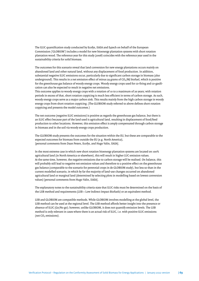The ILUC quantifcation study conducted by Ecofys, IIASA and E4tech on behalf of the European Commission ('GLOBIOM') includes a model for new bioenergy plantation systems with short rotation plantation wood. The reference year for this study (2008) coincides with the reference year used in the sustainability criteria for solid biomass.

The outcomes for this scenario reveal that land conversion for new energy plantations occurs mainly on abandoned land and other natural land, without any displacement of food production. In addition, substantial negative ILUC emissions occur, particularly due to signifcant carbon storage in biomass (also underground). This results in a net emission effect of minus 29 grams of  $CO<sub>2</sub>/M$ J biofuel, which is positive for the greenhouse gas balance of woody energy crops. Woody energy crops used for co-fring and co-gasifcation can also be expected to result in negative net emissions.

This outcome applies to woody energy crops with a rotation of 10 to a maximum of 20 years; with rotation periods in excess of that, short rotation coppicing is much less efficient in terms of carbon storage. As such, woody energy crops serve as a major carbon sink. This results mainly from the high carbon storage in woody energy crops from short rotation coppicing. (The GLOBIOM study referred to above defnes short rotation coppicing and presents the model outcomes.)

The net outcome (negative ILUC emissions) is positive as regards the greenhouse gas balance, but there is an ILUC efect because part of the land used is agricultural land, resulting in displacement of food/feed production to other locations. However, this emission efect is amply compensated through carbon storage in biomass and in the soil via woody energy crops production.

The GLOBIOM study presents the outcomes for the situation within the EU, but these are comparable to the expected outcomes for biomass from outside the EU (e.g. North America), [personal comments from Daan Peters, Ecofys, and Hugo Valin, IIASA].

In the most extreme case in which new short rotation bioenergy plantation systems are located on 100% agricultural land (in North America or elsewhere), this will result in higher LUC emission values. At the same time, however, the negative emissions due to carbon storage will be realised. On balance, this will probably still lead to negative net emission values and therefore to a positive efect on the greenhouse gas balance (comparable to the scenario for perennial crops in de GLOBIOM study), but less so than in the current modelled scenario, in which by far the majority of land-use changes occurred on abandoned agricultural land or marginal land (determined by selecting plots in modelling based on lowest conversion values) [personal comments from Hugo Valin, IIASA].

The explanatory notes to the sustainability criteria state that ILUC risks must be determined on the basis of the LIIB method and requirements (LIIB = Low Indirect Impact Biofuels) or an equivalent method.

LIIB and GLOBIOM are compatible methods. While GLOBIOM involves modelling at the global level, the LIIB method can be used at the regional level. The LIIB method afords beter insight into the presence or absence of ILUC (Go/No go); however, unlike GLOBIOM, it does not quantify emission levels. The LIIB method is only relevant in cases where there is an actual risk of ILUC, i.e. with positive ILUC emissions (net CO<sub>2</sub> emissions).